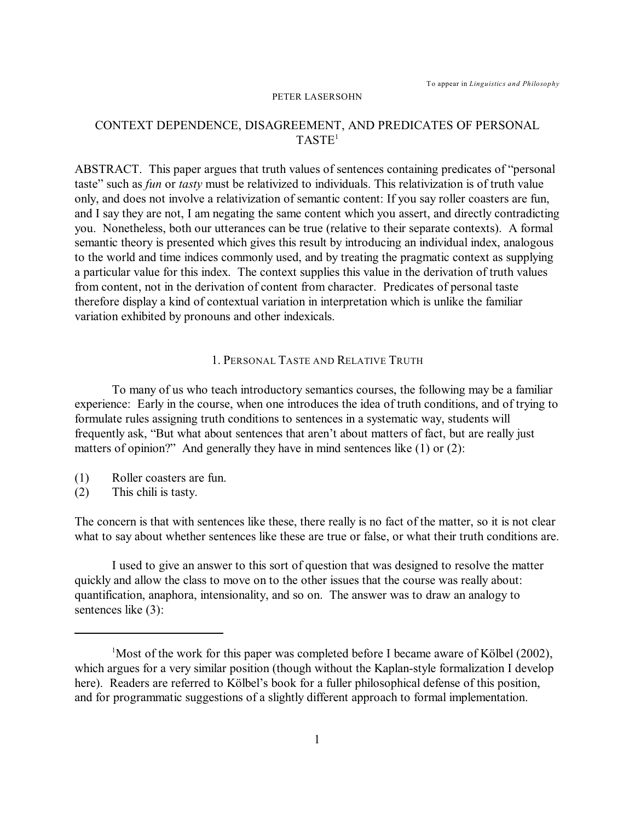#### PETER LASERSOHN

# CONTEXT DEPENDENCE, DISAGREEMENT, AND PREDICATES OF PERSONAL  $TASTE<sup>1</sup>$

ABSTRACT. This paper argues that truth values of sentences containing predicates of "personal taste" such as *fun* or *tasty* must be relativized to individuals. This relativization is of truth value only, and does not involve a relativization of semantic content: If you say roller coasters are fun, and I say they are not, I am negating the same content which you assert, and directly contradicting you. Nonetheless, both our utterances can be true (relative to their separate contexts). A formal semantic theory is presented which gives this result by introducing an individual index, analogous to the world and time indices commonly used, and by treating the pragmatic context as supplying a particular value for this index. The context supplies this value in the derivation of truth values from content, not in the derivation of content from character. Predicates of personal taste therefore display a kind of contextual variation in interpretation which is unlike the familiar variation exhibited by pronouns and other indexicals.

# 1. PERSONAL TASTE AND RELATIVE TRUTH

To many of us who teach introductory semantics courses, the following may be a familiar experience: Early in the course, when one introduces the idea of truth conditions, and of trying to formulate rules assigning truth conditions to sentences in a systematic way, students will frequently ask, "But what about sentences that aren't about matters of fact, but are really just matters of opinion?" And generally they have in mind sentences like (1) or (2):

- (1) Roller coasters are fun.
- (2) This chili is tasty.

The concern is that with sentences like these, there really is no fact of the matter, so it is not clear what to say about whether sentences like these are true or false, or what their truth conditions are.

I used to give an answer to this sort of question that was designed to resolve the matter quickly and allow the class to move on to the other issues that the course was really about: quantification, anaphora, intensionality, and so on. The answer was to draw an analogy to sentences like (3):

<sup>&</sup>lt;sup>1</sup>Most of the work for this paper was completed before I became aware of Kölbel (2002), which argues for a very similar position (though without the Kaplan-style formalization I develop here). Readers are referred to Kölbel's book for a fuller philosophical defense of this position, and for programmatic suggestions of a slightly different approach to formal implementation.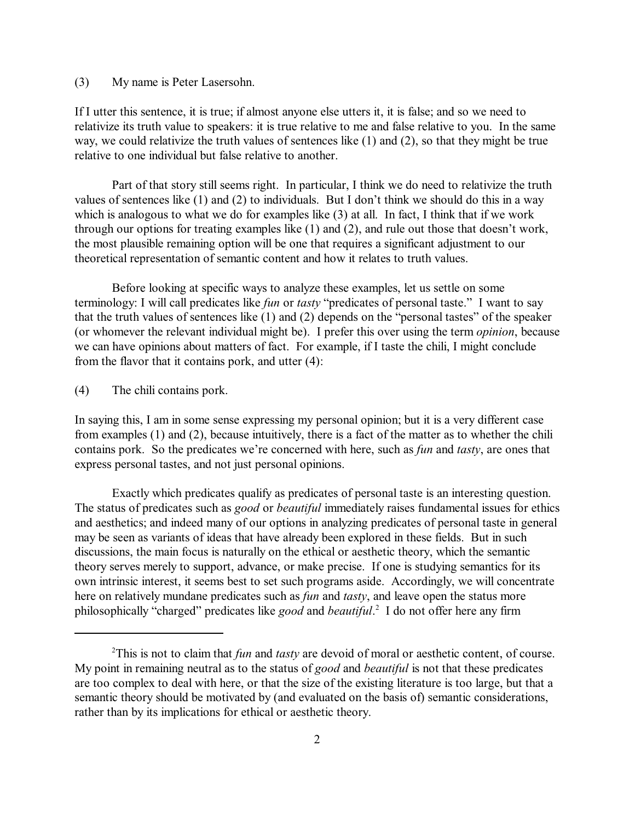#### (3) My name is Peter Lasersohn.

If I utter this sentence, it is true; if almost anyone else utters it, it is false; and so we need to relativize its truth value to speakers: it is true relative to me and false relative to you. In the same way, we could relativize the truth values of sentences like (1) and (2), so that they might be true relative to one individual but false relative to another.

Part of that story still seems right. In particular, I think we do need to relativize the truth values of sentences like (1) and (2) to individuals. But I don't think we should do this in a way which is analogous to what we do for examples like (3) at all. In fact, I think that if we work through our options for treating examples like (1) and (2), and rule out those that doesn't work, the most plausible remaining option will be one that requires a significant adjustment to our theoretical representation of semantic content and how it relates to truth values.

Before looking at specific ways to analyze these examples, let us settle on some terminology: I will call predicates like *fun* or *tasty* "predicates of personal taste." I want to say that the truth values of sentences like (1) and (2) depends on the "personal tastes" of the speaker (or whomever the relevant individual might be). I prefer this over using the term *opinion*, because we can have opinions about matters of fact. For example, if I taste the chili, I might conclude from the flavor that it contains pork, and utter (4):

(4) The chili contains pork.

In saying this, I am in some sense expressing my personal opinion; but it is a very different case from examples (1) and (2), because intuitively, there is a fact of the matter as to whether the chili contains pork. So the predicates we're concerned with here, such as *fun* and *tasty*, are ones that express personal tastes, and not just personal opinions.

Exactly which predicates qualify as predicates of personal taste is an interesting question. The status of predicates such as *good* or *beautiful* immediately raises fundamental issues for ethics and aesthetics; and indeed many of our options in analyzing predicates of personal taste in general may be seen as variants of ideas that have already been explored in these fields. But in such discussions, the main focus is naturally on the ethical or aesthetic theory, which the semantic theory serves merely to support, advance, or make precise. If one is studying semantics for its own intrinsic interest, it seems best to set such programs aside. Accordingly, we will concentrate here on relatively mundane predicates such as *fun* and *tasty*, and leave open the status more philosophically "charged" predicates like *good* and *beautiful*. I do not offer here any firm <sup>2</sup>

<sup>&</sup>lt;sup>2</sup>This is not to claim that *fun* and *tasty* are devoid of moral or aesthetic content, of course. My point in remaining neutral as to the status of *good* and *beautiful* is not that these predicates are too complex to deal with here, or that the size of the existing literature is too large, but that a semantic theory should be motivated by (and evaluated on the basis of) semantic considerations, rather than by its implications for ethical or aesthetic theory.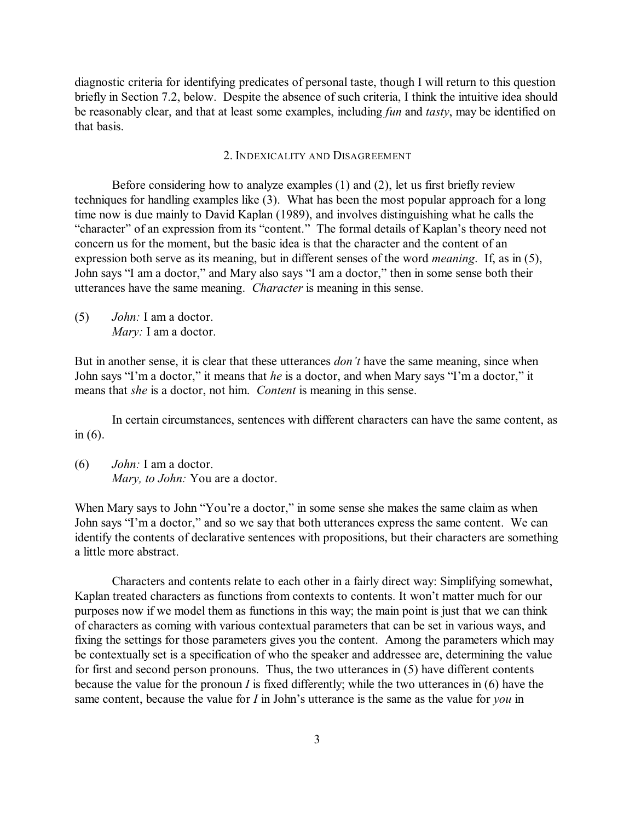diagnostic criteria for identifying predicates of personal taste, though I will return to this question briefly in Section 7.2, below. Despite the absence of such criteria, I think the intuitive idea should be reasonably clear, and that at least some examples, including *fun* and *tasty*, may be identified on that basis.

### 2. INDEXICALITY AND DISAGREEMENT

Before considering how to analyze examples (1) and (2), let us first briefly review techniques for handling examples like (3). What has been the most popular approach for a long time now is due mainly to David Kaplan (1989), and involves distinguishing what he calls the "character" of an expression from its "content." The formal details of Kaplan's theory need not concern us for the moment, but the basic idea is that the character and the content of an expression both serve as its meaning, but in different senses of the word *meaning*. If, as in (5), John says "I am a doctor," and Mary also says "I am a doctor," then in some sense both their utterances have the same meaning. *Character* is meaning in this sense.

(5) *John:* I am a doctor. *Mary:* I am a doctor.

But in another sense, it is clear that these utterances *don't* have the same meaning, since when John says "I'm a doctor," it means that *he* is a doctor, and when Mary says "I'm a doctor," it means that *she* is a doctor, not him. *Content* is meaning in this sense.

In certain circumstances, sentences with different characters can have the same content, as in (6).

(6) *John:* I am a doctor. *Mary, to John:* You are a doctor.

When Mary says to John "You're a doctor," in some sense she makes the same claim as when John says "I'm a doctor," and so we say that both utterances express the same content. We can identify the contents of declarative sentences with propositions, but their characters are something a little more abstract.

Characters and contents relate to each other in a fairly direct way: Simplifying somewhat, Kaplan treated characters as functions from contexts to contents. It won't matter much for our purposes now if we model them as functions in this way; the main point is just that we can think of characters as coming with various contextual parameters that can be set in various ways, and fixing the settings for those parameters gives you the content. Among the parameters which may be contextually set is a specification of who the speaker and addressee are, determining the value for first and second person pronouns. Thus, the two utterances in (5) have different contents because the value for the pronoun *I* is fixed differently; while the two utterances in (6) have the same content, because the value for *I* in John's utterance is the same as the value for *you* in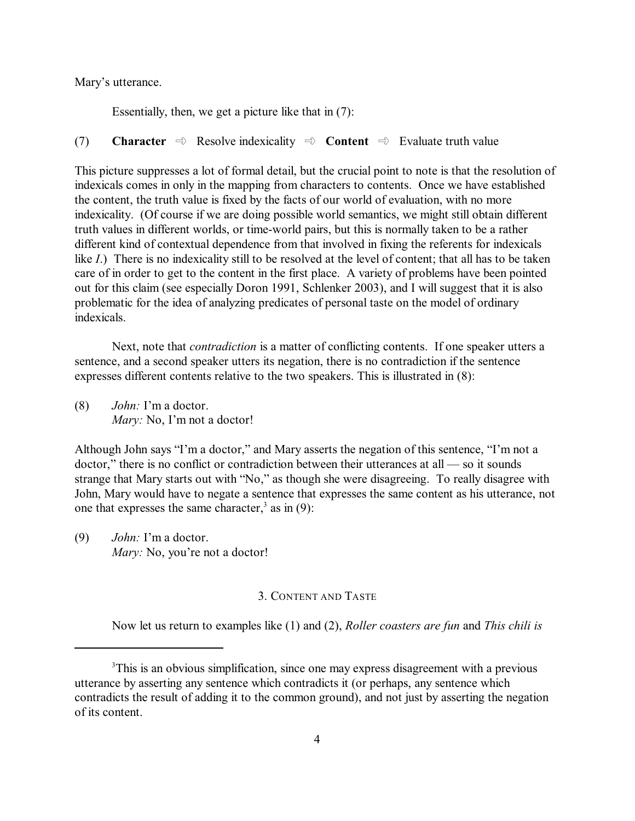Mary's utterance.

Essentially, then, we get a picture like that in (7):

(7) **Character**  $\Rightarrow$  Resolve indexicality  $\Rightarrow$  **Content**  $\Rightarrow$  Evaluate truth value

This picture suppresses a lot of formal detail, but the crucial point to note is that the resolution of indexicals comes in only in the mapping from characters to contents. Once we have established the content, the truth value is fixed by the facts of our world of evaluation, with no more indexicality. (Of course if we are doing possible world semantics, we might still obtain different truth values in different worlds, or time-world pairs, but this is normally taken to be a rather different kind of contextual dependence from that involved in fixing the referents for indexicals like *I*.) There is no indexicality still to be resolved at the level of content; that all has to be taken care of in order to get to the content in the first place. A variety of problems have been pointed out for this claim (see especially Doron 1991, Schlenker 2003), and I will suggest that it is also problematic for the idea of analyzing predicates of personal taste on the model of ordinary indexicals.

Next, note that *contradiction* is a matter of conflicting contents. If one speaker utters a sentence, and a second speaker utters its negation, there is no contradiction if the sentence expresses different contents relative to the two speakers. This is illustrated in (8):

(8) *John:* I'm a doctor. *Mary:* No, I'm not a doctor!

Although John says "I'm a doctor," and Mary asserts the negation of this sentence, "I'm not a doctor," there is no conflict or contradiction between their utterances at all — so it sounds strange that Mary starts out with "No," as though she were disagreeing. To really disagree with John, Mary would have to negate a sentence that expresses the same content as his utterance, not one that expresses the same character,<sup>3</sup> as in (9):

(9) *John:* I'm a doctor. *Mary:* No, you're not a doctor!

# 3. CONTENT AND TASTE

Now let us return to examples like (1) and (2), *Roller coasters are fun* and *This chili is*

<sup>&</sup>lt;sup>3</sup>This is an obvious simplification, since one may express disagreement with a previous utterance by asserting any sentence which contradicts it (or perhaps, any sentence which contradicts the result of adding it to the common ground), and not just by asserting the negation of its content.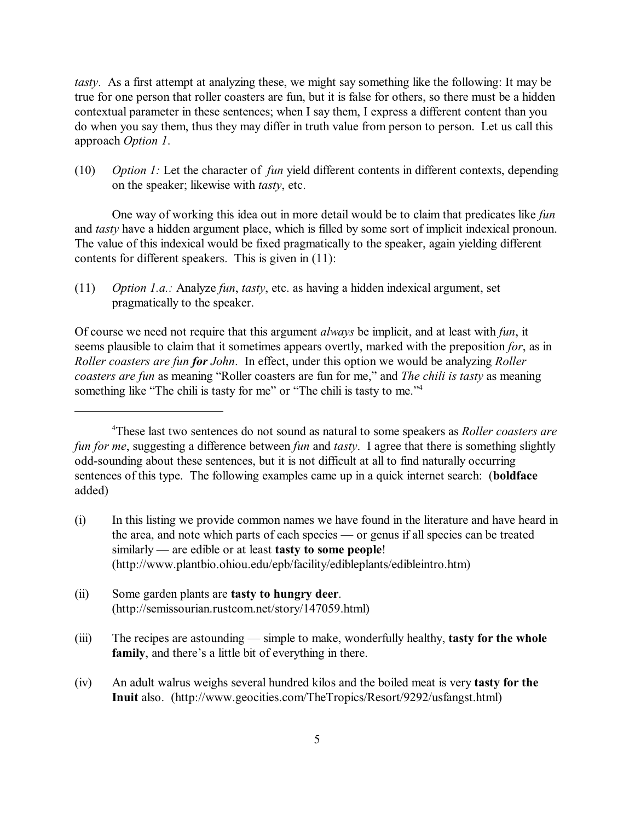*tasty*. As a first attempt at analyzing these, we might say something like the following: It may be true for one person that roller coasters are fun, but it is false for others, so there must be a hidden contextual parameter in these sentences; when I say them, I express a different content than you do when you say them, thus they may differ in truth value from person to person. Let us call this approach *Option 1*.

(10) *Option 1:* Let the character of *fun* yield different contents in different contexts, depending on the speaker; likewise with *tasty*, etc.

One way of working this idea out in more detail would be to claim that predicates like *fun* and *tasty* have a hidden argument place, which is filled by some sort of implicit indexical pronoun. The value of this indexical would be fixed pragmatically to the speaker, again yielding different contents for different speakers. This is given in (11):

(11) *Option 1.a.:* Analyze *fun*, *tasty*, etc. as having a hidden indexical argument, set pragmatically to the speaker.

Of course we need not require that this argument *always* be implicit, and at least with *fun*, it seems plausible to claim that it sometimes appears overtly, marked with the preposition *for*, as in *Roller coasters are fun for John*. In effect, under this option we would be analyzing *Roller coasters are fun* as meaning "Roller coasters are fun for me," and *The chili is tasty* as meaning something like "The chili is tasty for me" or "The chili is tasty to me."<sup>4</sup>

- (i) In this listing we provide common names we have found in the literature and have heard in the area, and note which parts of each species — or genus if all species can be treated similarly — are edible or at least **tasty to some people**! (http://www.plantbio.ohiou.edu/epb/facility/edibleplants/edibleintro.htm)
- (ii) Some garden plants are **tasty to hungry deer**. (http://semissourian.rustcom.net/story/147059.html)
- (iii) The recipes are astounding simple to make, wonderfully healthy, **tasty for the whole family**, and there's a little bit of everything in there.
- (iv) An adult walrus weighs several hundred kilos and the boiled meat is very **tasty for the Inuit** also. (http://www.geocities.com/TheTropics/Resort/9292/usfangst.html)

These last two sentences do not sound as natural to some speakers as *Roller coasters are* <sup>4</sup> *fun for me*, suggesting a difference between *fun* and *tasty*. I agree that there is something slightly odd-sounding about these sentences, but it is not difficult at all to find naturally occurring sentences of this type. The following examples came up in a quick internet search: (**boldface** added)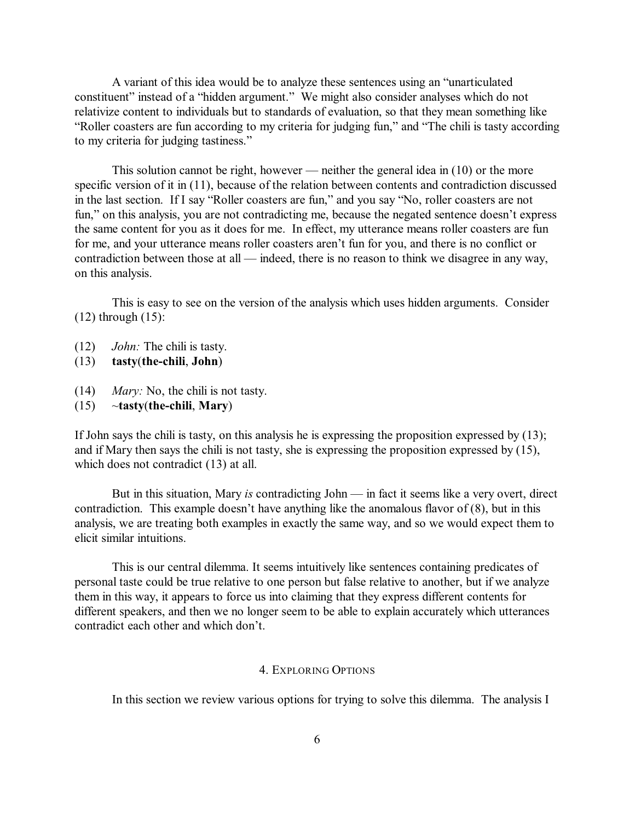A variant of this idea would be to analyze these sentences using an "unarticulated constituent" instead of a "hidden argument." We might also consider analyses which do not relativize content to individuals but to standards of evaluation, so that they mean something like "Roller coasters are fun according to my criteria for judging fun," and "The chili is tasty according to my criteria for judging tastiness."

This solution cannot be right, however — neither the general idea in (10) or the more specific version of it in (11), because of the relation between contents and contradiction discussed in the last section. If I say "Roller coasters are fun," and you say "No, roller coasters are not fun," on this analysis, you are not contradicting me, because the negated sentence doesn't express the same content for you as it does for me. In effect, my utterance means roller coasters are fun for me, and your utterance means roller coasters aren't fun for you, and there is no conflict or contradiction between those at all — indeed, there is no reason to think we disagree in any way, on this analysis.

This is easy to see on the version of the analysis which uses hidden arguments. Consider (12) through (15):

- (12) *John:* The chili is tasty.
- (13) **tasty**(**the-chili**, **John**)
- (14) *Mary:* No, the chili is not tasty.
- (15) ~**tasty**(**the-chili**, **Mary**)

If John says the chili is tasty, on this analysis he is expressing the proposition expressed by (13); and if Mary then says the chili is not tasty, she is expressing the proposition expressed by (15), which does not contradict (13) at all.

But in this situation, Mary *is* contradicting John — in fact it seems like a very overt, direct contradiction. This example doesn't have anything like the anomalous flavor of (8), but in this analysis, we are treating both examples in exactly the same way, and so we would expect them to elicit similar intuitions.

This is our central dilemma. It seems intuitively like sentences containing predicates of personal taste could be true relative to one person but false relative to another, but if we analyze them in this way, it appears to force us into claiming that they express different contents for different speakers, and then we no longer seem to be able to explain accurately which utterances contradict each other and which don't.

### 4. EXPLORING OPTIONS

In this section we review various options for trying to solve this dilemma. The analysis I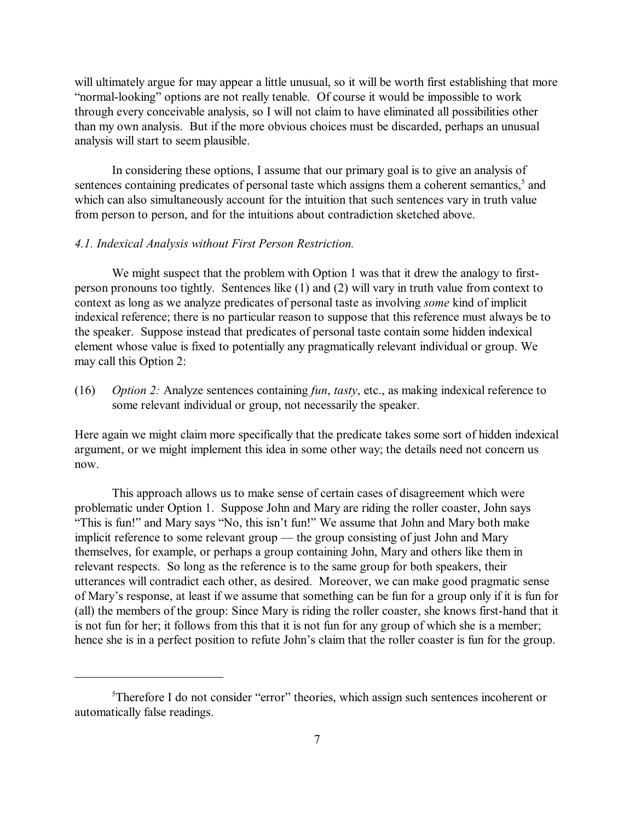will ultimately argue for may appear a little unusual, so it will be worth first establishing that more "normal-looking" options are not really tenable. Of course it would be impossible to work through every conceivable analysis, so I will not claim to have eliminated all possibilities other than my own analysis. But if the more obvious choices must be discarded, perhaps an unusual analysis will start to seem plausible.

In considering these options, I assume that our primary goal is to give an analysis of sentences containing predicates of personal taste which assigns them a coherent semantics, $<sup>5</sup>$  and</sup> which can also simultaneously account for the intuition that such sentences vary in truth value from person to person, and for the intuitions about contradiction sketched above.

## *4.1. Indexical Analysis without First Person Restriction.*

We might suspect that the problem with Option 1 was that it drew the analogy to firstperson pronouns too tightly. Sentences like (1) and (2) will vary in truth value from context to context as long as we analyze predicates of personal taste as involving *some* kind of implicit indexical reference; there is no particular reason to suppose that this reference must always be to the speaker. Suppose instead that predicates of personal taste contain some hidden indexical element whose value is fixed to potentially any pragmatically relevant individual or group. We may call this Option 2:

(16) *Option 2:* Analyze sentences containing *fun*, *tasty*, etc., as making indexical reference to some relevant individual or group, not necessarily the speaker.

Here again we might claim more specifically that the predicate takes some sort of hidden indexical argument, or we might implement this idea in some other way; the details need not concern us now.

This approach allows us to make sense of certain cases of disagreement which were problematic under Option 1. Suppose John and Mary are riding the roller coaster, John says "This is fun!" and Mary says "No, this isn't fun!" We assume that John and Mary both make implicit reference to some relevant group — the group consisting of just John and Mary themselves, for example, or perhaps a group containing John, Mary and others like them in relevant respects. So long as the reference is to the same group for both speakers, their utterances will contradict each other, as desired. Moreover, we can make good pragmatic sense of Mary's response, at least if we assume that something can be fun for a group only if it is fun for (all) the members of the group: Since Mary is riding the roller coaster, she knows first-hand that it is not fun for her; it follows from this that it is not fun for any group of which she is a member; hence she is in a perfect position to refute John's claim that the roller coaster is fun for the group.

<sup>&</sup>lt;sup>5</sup>Therefore I do not consider "error" theories, which assign such sentences incoherent or automatically false readings.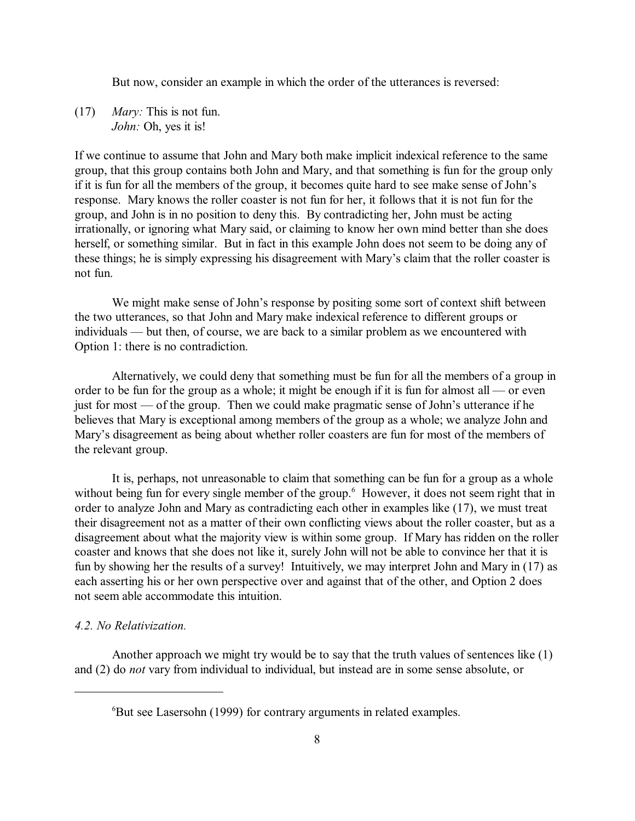But now, consider an example in which the order of the utterances is reversed:

(17) *Mary:* This is not fun. *John:* Oh, yes it is!

If we continue to assume that John and Mary both make implicit indexical reference to the same group, that this group contains both John and Mary, and that something is fun for the group only if it is fun for all the members of the group, it becomes quite hard to see make sense of John's response. Mary knows the roller coaster is not fun for her, it follows that it is not fun for the group, and John is in no position to deny this. By contradicting her, John must be acting irrationally, or ignoring what Mary said, or claiming to know her own mind better than she does herself, or something similar. But in fact in this example John does not seem to be doing any of these things; he is simply expressing his disagreement with Mary's claim that the roller coaster is not fun.

We might make sense of John's response by positing some sort of context shift between the two utterances, so that John and Mary make indexical reference to different groups or individuals — but then, of course, we are back to a similar problem as we encountered with Option 1: there is no contradiction.

Alternatively, we could deny that something must be fun for all the members of a group in order to be fun for the group as a whole; it might be enough if it is fun for almost all — or even just for most — of the group. Then we could make pragmatic sense of John's utterance if he believes that Mary is exceptional among members of the group as a whole; we analyze John and Mary's disagreement as being about whether roller coasters are fun for most of the members of the relevant group.

It is, perhaps, not unreasonable to claim that something can be fun for a group as a whole without being fun for every single member of the group.<sup>6</sup> However, it does not seem right that in order to analyze John and Mary as contradicting each other in examples like (17), we must treat their disagreement not as a matter of their own conflicting views about the roller coaster, but as a disagreement about what the majority view is within some group. If Mary has ridden on the roller coaster and knows that she does not like it, surely John will not be able to convince her that it is fun by showing her the results of a survey! Intuitively, we may interpret John and Mary in (17) as each asserting his or her own perspective over and against that of the other, and Option 2 does not seem able accommodate this intuition.

#### *4.2. No Relativization.*

Another approach we might try would be to say that the truth values of sentences like (1) and (2) do *not* vary from individual to individual, but instead are in some sense absolute, or

 ${}^{6}$ But see Lasersohn (1999) for contrary arguments in related examples.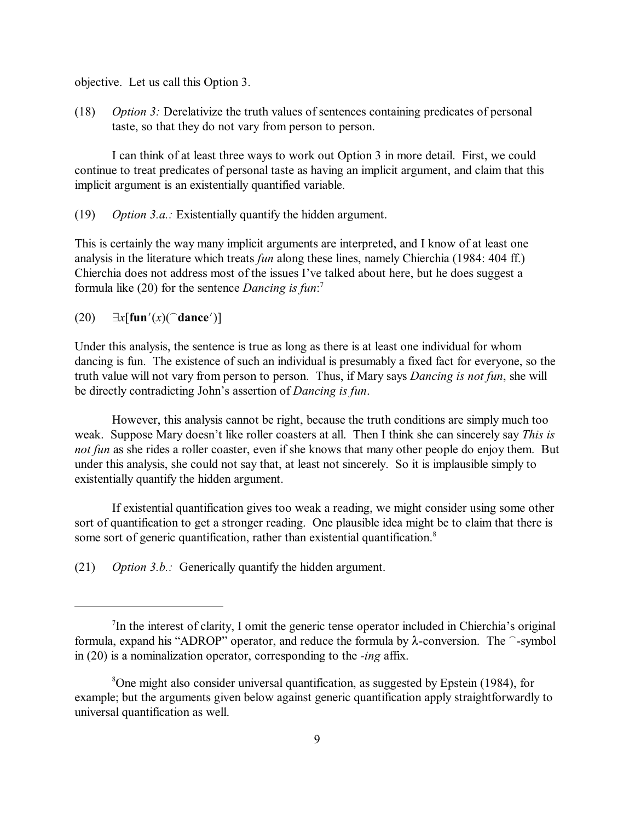objective. Let us call this Option 3.

(18) *Option 3:* Derelativize the truth values of sentences containing predicates of personal taste, so that they do not vary from person to person.

I can think of at least three ways to work out Option 3 in more detail. First, we could continue to treat predicates of personal taste as having an implicit argument, and claim that this implicit argument is an existentially quantified variable.

(19) *Option 3.a.:* Existentially quantify the hidden argument.

This is certainly the way many implicit arguments are interpreted, and I know of at least one analysis in the literature which treats *fun* along these lines, namely Chierchia (1984: 404 ff.) Chierchia does not address most of the issues I've talked about here, but he does suggest a formula like (20) for the sentence *Dancing is fun*: 7

 $\exists x$ [fun'(x)( $\hat{\alpha}$ dance')]

Under this analysis, the sentence is true as long as there is at least one individual for whom dancing is fun. The existence of such an individual is presumably a fixed fact for everyone, so the truth value will not vary from person to person. Thus, if Mary says *Dancing is not fun*, she will be directly contradicting John's assertion of *Dancing is fun*.

However, this analysis cannot be right, because the truth conditions are simply much too weak. Suppose Mary doesn't like roller coasters at all. Then I think she can sincerely say *This is not fun* as she rides a roller coaster, even if she knows that many other people do enjoy them. But under this analysis, she could not say that, at least not sincerely. So it is implausible simply to existentially quantify the hidden argument.

If existential quantification gives too weak a reading, we might consider using some other sort of quantification to get a stronger reading. One plausible idea might be to claim that there is some sort of generic quantification, rather than existential quantification.<sup>8</sup>

(21) *Option 3.b.:* Generically quantify the hidden argument.

 $\frac{7}{1}$ In the interest of clarity, I omit the generic tense operator included in Chierchia's original formula, expand his "ADROP" operator, and reduce the formula by  $\lambda$ -conversion. The  $\sim$ -symbol in (20) is a nominalization operator, corresponding to the *-ing* affix.

One might also consider universal quantification, as suggested by Epstein (1984), for <sup>8</sup> example; but the arguments given below against generic quantification apply straightforwardly to universal quantification as well.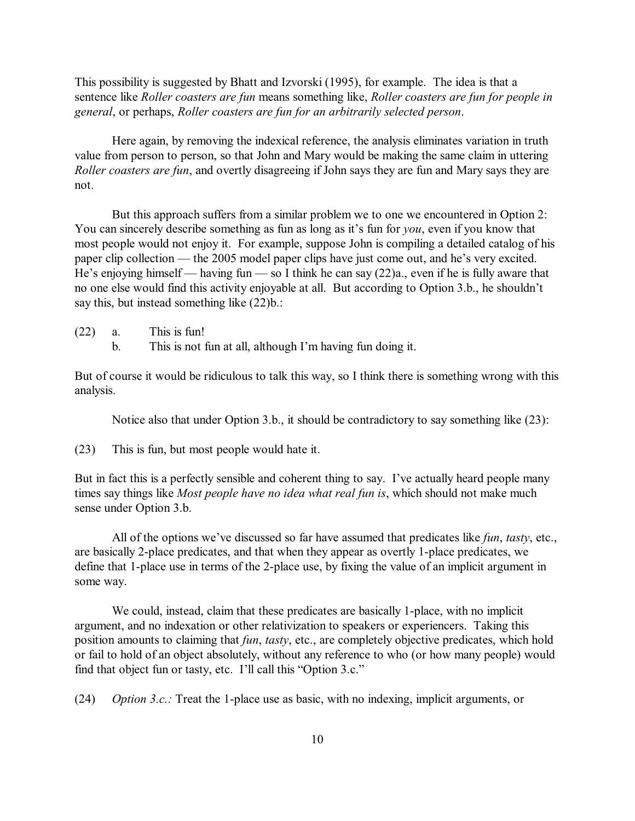This possibility is suggested by Bhatt and Izvorski (1995), for example. The idea is that a sentence like *Roller coasters are fun* means something like, *Roller coasters are fun for people in general*, or perhaps, *Roller coasters are fun for an arbitrarily selected person*.

Here again, by removing the indexical reference, the analysis eliminates variation in truth value from person to person, so that John and Mary would be making the same claim in uttering *Roller coasters are fun*, and overtly disagreeing if John says they are fun and Mary says they are not.

But this approach suffers from a similar problem we to one we encountered in Option 2: You can sincerely describe something as fun as long as it's fun for *you*, even if you know that most people would not enjoy it. For example, suppose John is compiling a detailed catalog of his paper clip collection — the 2005 model paper clips have just come out, and he's very excited. He's enjoying himself — having fun — so I think he can say (22)a., even if he is fully aware that no one else would find this activity enjoyable at all. But according to Option 3.b., he shouldn't say this, but instead something like  $(22)b$ .:

- (22) a. This is fun!
	- b. This is not fun at all, although I'm having fun doing it.

But of course it would be ridiculous to talk this way, so I think there is something wrong with this analysis.

Notice also that under Option 3.b., it should be contradictory to say something like (23):

(23) This is fun, but most people would hate it.

But in fact this is a perfectly sensible and coherent thing to say. I've actually heard people many times say things like *Most people have no idea what real fun is*, which should not make much sense under Option 3.b.

All of the options we've discussed so far have assumed that predicates like *fun*, *tasty*, etc., are basically 2-place predicates, and that when they appear as overtly 1-place predicates, we define that 1-place use in terms of the 2-place use, by fixing the value of an implicit argument in some way.

We could, instead, claim that these predicates are basically 1-place, with no implicit argument, and no indexation or other relativization to speakers or experiencers. Taking this position amounts to claiming that *fun*, *tasty*, etc., are completely objective predicates, which hold or fail to hold of an object absolutely, without any reference to who (or how many people) would find that object fun or tasty, etc. I'll call this "Option 3.c."

(24) *Option 3.c.:* Treat the 1-place use as basic, with no indexing, implicit arguments, or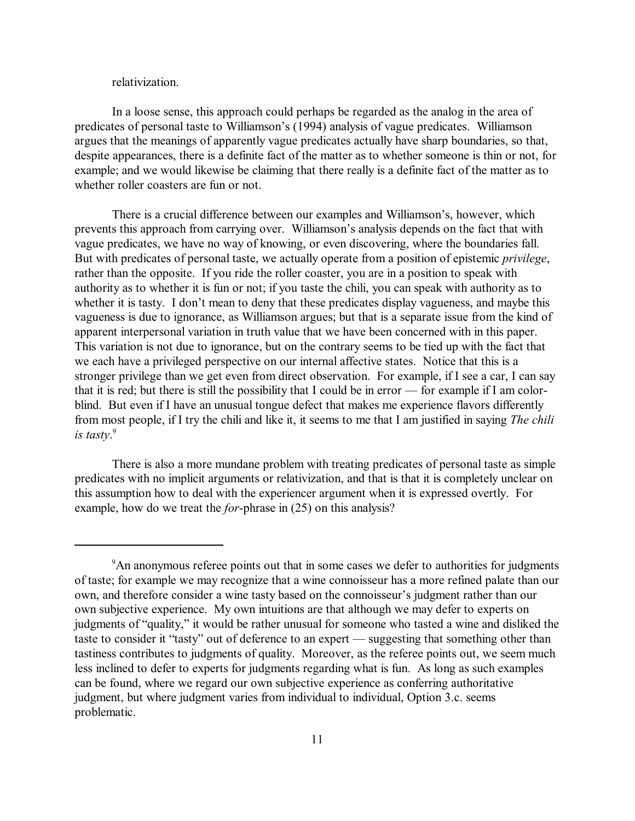# relativization.

In a loose sense, this approach could perhaps be regarded as the analog in the area of predicates of personal taste to Williamson's (1994) analysis of vague predicates. Williamson argues that the meanings of apparently vague predicates actually have sharp boundaries, so that, despite appearances, there is a definite fact of the matter as to whether someone is thin or not, for example; and we would likewise be claiming that there really is a definite fact of the matter as to whether roller coasters are fun or not.

There is a crucial difference between our examples and Williamson's, however, which prevents this approach from carrying over. Williamson's analysis depends on the fact that with vague predicates, we have no way of knowing, or even discovering, where the boundaries fall. But with predicates of personal taste, we actually operate from a position of epistemic *privilege*, rather than the opposite. If you ride the roller coaster, you are in a position to speak with authority as to whether it is fun or not; if you taste the chili, you can speak with authority as to whether it is tasty. I don't mean to deny that these predicates display vagueness, and maybe this vagueness is due to ignorance, as Williamson argues; but that is a separate issue from the kind of apparent interpersonal variation in truth value that we have been concerned with in this paper. This variation is not due to ignorance, but on the contrary seems to be tied up with the fact that we each have a privileged perspective on our internal affective states. Notice that this is a stronger privilege than we get even from direct observation. For example, if I see a car, I can say that it is red; but there is still the possibility that I could be in error — for example if I am colorblind. But even if I have an unusual tongue defect that makes me experience flavors differently from most people, if I try the chili and like it, it seems to me that I am justified in saying *The chili is tasty*. 9

There is also a more mundane problem with treating predicates of personal taste as simple predicates with no implicit arguments or relativization, and that is that it is completely unclear on this assumption how to deal with the experiencer argument when it is expressed overtly. For example, how do we treat the *for*-phrase in (25) on this analysis?

<sup>&</sup>lt;sup>9</sup>An anonymous referee points out that in some cases we defer to authorities for judgments of taste; for example we may recognize that a wine connoisseur has a more refined palate than our own, and therefore consider a wine tasty based on the connoisseur's judgment rather than our own subjective experience. My own intuitions are that although we may defer to experts on judgments of "quality," it would be rather unusual for someone who tasted a wine and disliked the taste to consider it "tasty" out of deference to an expert — suggesting that something other than tastiness contributes to judgments of quality. Moreover, as the referee points out, we seem much less inclined to defer to experts for judgments regarding what is fun. As long as such examples can be found, where we regard our own subjective experience as conferring authoritative judgment, but where judgment varies from individual to individual, Option 3.c. seems problematic.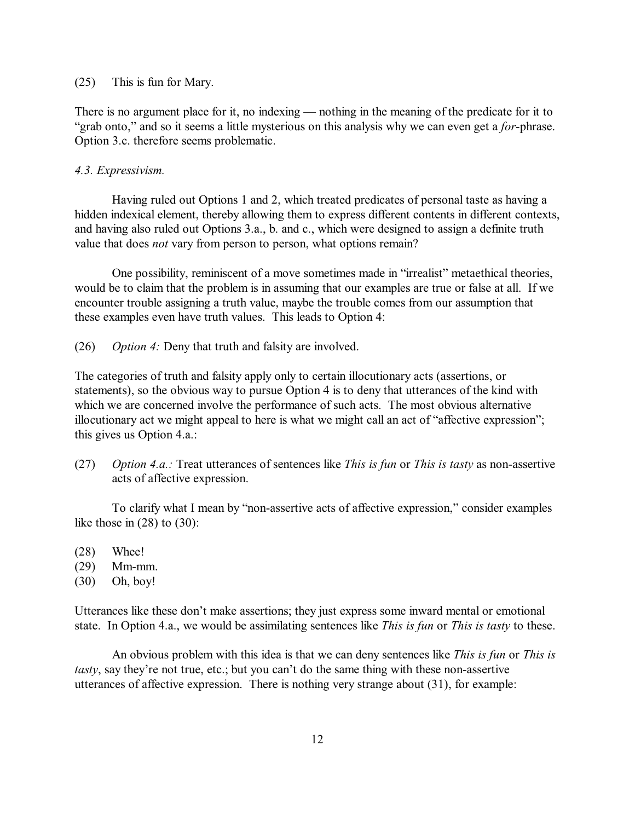# (25) This is fun for Mary.

There is no argument place for it, no indexing — nothing in the meaning of the predicate for it to "grab onto," and so it seems a little mysterious on this analysis why we can even get a *for*-phrase. Option 3.c. therefore seems problematic.

# *4.3. Expressivism.*

Having ruled out Options 1 and 2, which treated predicates of personal taste as having a hidden indexical element, thereby allowing them to express different contents in different contexts, and having also ruled out Options 3.a., b. and c., which were designed to assign a definite truth value that does *not* vary from person to person, what options remain?

One possibility, reminiscent of a move sometimes made in "irrealist" metaethical theories, would be to claim that the problem is in assuming that our examples are true or false at all. If we encounter trouble assigning a truth value, maybe the trouble comes from our assumption that these examples even have truth values. This leads to Option 4:

(26) *Option 4:* Deny that truth and falsity are involved.

The categories of truth and falsity apply only to certain illocutionary acts (assertions, or statements), so the obvious way to pursue Option 4 is to deny that utterances of the kind with which we are concerned involve the performance of such acts. The most obvious alternative illocutionary act we might appeal to here is what we might call an act of "affective expression"; this gives us Option 4.a.:

(27) *Option 4.a.:* Treat utterances of sentences like *This is fun* or *This is tasty* as non-assertive acts of affective expression.

To clarify what I mean by "non-assertive acts of affective expression," consider examples like those in  $(28)$  to  $(30)$ :

- (28) Whee!
- (29) Mm-mm.
- (30) Oh, boy!

Utterances like these don't make assertions; they just express some inward mental or emotional state. In Option 4.a., we would be assimilating sentences like *This is fun* or *This is tasty* to these.

An obvious problem with this idea is that we can deny sentences like *This is fun* or *This is tasty*, say they're not true, etc.; but you can't do the same thing with these non-assertive utterances of affective expression. There is nothing very strange about (31), for example: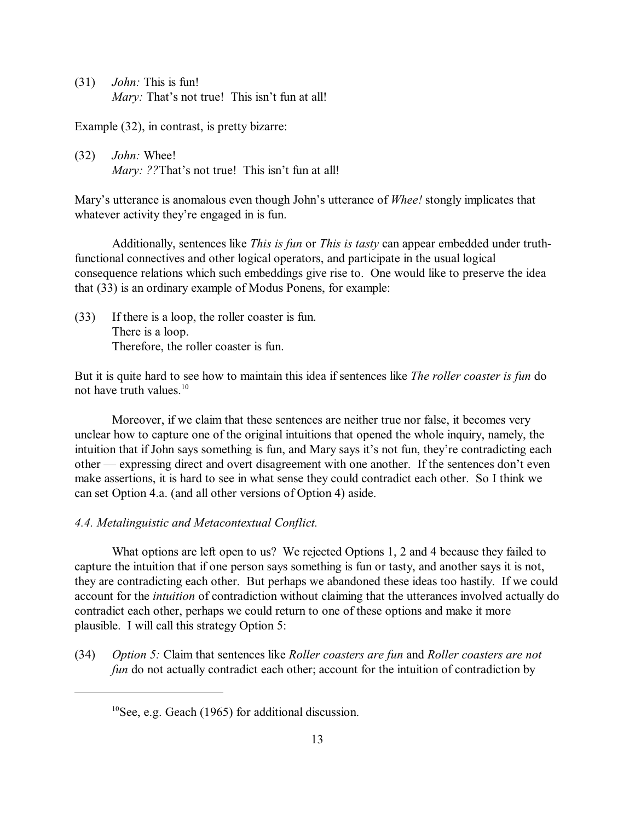(31) *John:* This is fun! *Mary:* That's not true! This isn't fun at all!

Example (32), in contrast, is pretty bizarre:

(32) *John:* Whee! *Mary: ??*That's not true! This isn't fun at all!

Mary's utterance is anomalous even though John's utterance of *Whee!* stongly implicates that whatever activity they're engaged in is fun.

Additionally, sentences like *This is fun* or *This is tasty* can appear embedded under truthfunctional connectives and other logical operators, and participate in the usual logical consequence relations which such embeddings give rise to. One would like to preserve the idea that (33) is an ordinary example of Modus Ponens, for example:

(33) If there is a loop, the roller coaster is fun. There is a loop. Therefore, the roller coaster is fun.

But it is quite hard to see how to maintain this idea if sentences like *The roller coaster is fun* do not have truth values. $10<sup>10</sup>$ 

Moreover, if we claim that these sentences are neither true nor false, it becomes very unclear how to capture one of the original intuitions that opened the whole inquiry, namely, the intuition that if John says something is fun, and Mary says it's not fun, they're contradicting each other — expressing direct and overt disagreement with one another. If the sentences don't even make assertions, it is hard to see in what sense they could contradict each other. So I think we can set Option 4.a. (and all other versions of Option 4) aside.

# *4.4. Metalinguistic and Metacontextual Conflict.*

What options are left open to us? We rejected Options 1, 2 and 4 because they failed to capture the intuition that if one person says something is fun or tasty, and another says it is not, they are contradicting each other. But perhaps we abandoned these ideas too hastily. If we could account for the *intuition* of contradiction without claiming that the utterances involved actually do contradict each other, perhaps we could return to one of these options and make it more plausible. I will call this strategy Option 5:

(34) *Option 5:* Claim that sentences like *Roller coasters are fun* and *Roller coasters are not fun* do not actually contradict each other; account for the intuition of contradiction by

 $^{10}$ See, e.g. Geach (1965) for additional discussion.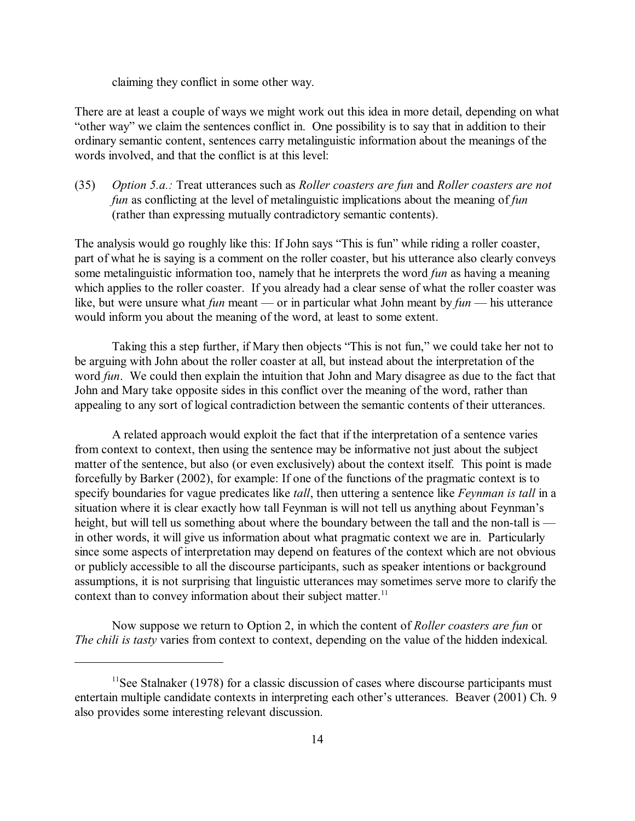claiming they conflict in some other way.

There are at least a couple of ways we might work out this idea in more detail, depending on what "other way" we claim the sentences conflict in. One possibility is to say that in addition to their ordinary semantic content, sentences carry metalinguistic information about the meanings of the words involved, and that the conflict is at this level:

(35) *Option 5.a.:* Treat utterances such as *Roller coasters are fun* and *Roller coasters are not fun* as conflicting at the level of metalinguistic implications about the meaning of *fun* (rather than expressing mutually contradictory semantic contents).

The analysis would go roughly like this: If John says "This is fun" while riding a roller coaster, part of what he is saying is a comment on the roller coaster, but his utterance also clearly conveys some metalinguistic information too, namely that he interprets the word *fun* as having a meaning which applies to the roller coaster. If you already had a clear sense of what the roller coaster was like, but were unsure what *fun* meant — or in particular what John meant by *fun* — his utterance would inform you about the meaning of the word, at least to some extent.

Taking this a step further, if Mary then objects "This is not fun," we could take her not to be arguing with John about the roller coaster at all, but instead about the interpretation of the word *fun*. We could then explain the intuition that John and Mary disagree as due to the fact that John and Mary take opposite sides in this conflict over the meaning of the word, rather than appealing to any sort of logical contradiction between the semantic contents of their utterances.

A related approach would exploit the fact that if the interpretation of a sentence varies from context to context, then using the sentence may be informative not just about the subject matter of the sentence, but also (or even exclusively) about the context itself. This point is made forcefully by Barker (2002), for example: If one of the functions of the pragmatic context is to specify boundaries for vague predicates like *tall*, then uttering a sentence like *Feynman is tall* in a situation where it is clear exactly how tall Feynman is will not tell us anything about Feynman's height, but will tell us something about where the boundary between the tall and the non-tall is in other words, it will give us information about what pragmatic context we are in. Particularly since some aspects of interpretation may depend on features of the context which are not obvious or publicly accessible to all the discourse participants, such as speaker intentions or background assumptions, it is not surprising that linguistic utterances may sometimes serve more to clarify the context than to convey information about their subject matter.<sup>11</sup>

Now suppose we return to Option 2, in which the content of *Roller coasters are fun* or *The chili is tasty* varies from context to context, depending on the value of the hidden indexical.

 $11$ See Stalnaker (1978) for a classic discussion of cases where discourse participants must entertain multiple candidate contexts in interpreting each other's utterances. Beaver (2001) Ch. 9 also provides some interesting relevant discussion.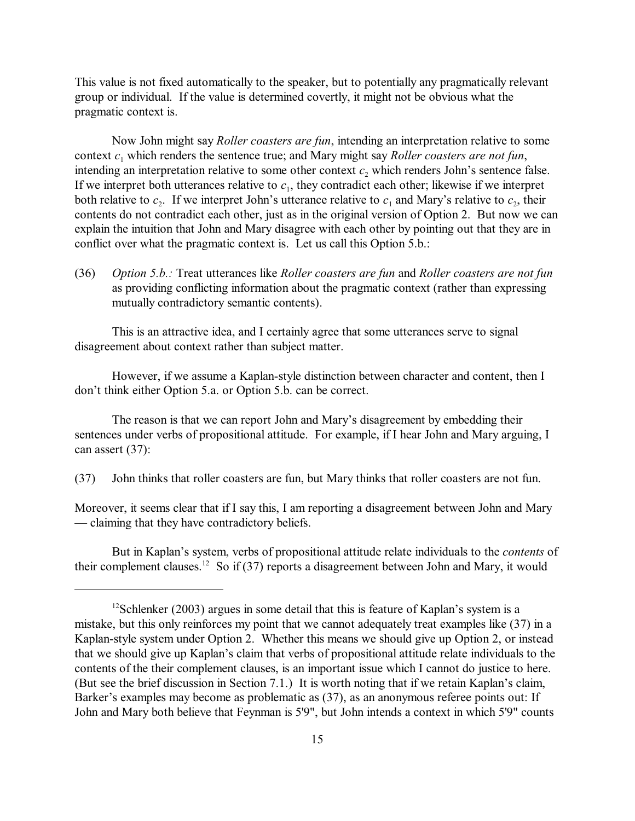This value is not fixed automatically to the speaker, but to potentially any pragmatically relevant group or individual. If the value is determined covertly, it might not be obvious what the pragmatic context is.

Now John might say *Roller coasters are fun*, intending an interpretation relative to some context  $c_1$  which renders the sentence true; and Mary might say *Roller coasters are not fun*, intending an interpretation relative to some other context  $c_2$  which renders John's sentence false. If we interpret both utterances relative to  $c<sub>1</sub>$ , they contradict each other; likewise if we interpret both relative to  $c_2$ . If we interpret John's utterance relative to  $c_1$  and Mary's relative to  $c_2$ , their contents do not contradict each other, just as in the original version of Option 2. But now we can explain the intuition that John and Mary disagree with each other by pointing out that they are in conflict over what the pragmatic context is. Let us call this Option 5.b.:

(36) *Option 5.b.:* Treat utterances like *Roller coasters are fun* and *Roller coasters are not fun* as providing conflicting information about the pragmatic context (rather than expressing mutually contradictory semantic contents).

This is an attractive idea, and I certainly agree that some utterances serve to signal disagreement about context rather than subject matter.

However, if we assume a Kaplan-style distinction between character and content, then I don't think either Option 5.a. or Option 5.b. can be correct.

The reason is that we can report John and Mary's disagreement by embedding their sentences under verbs of propositional attitude. For example, if I hear John and Mary arguing, I can assert (37):

(37) John thinks that roller coasters are fun, but Mary thinks that roller coasters are not fun.

Moreover, it seems clear that if I say this, I am reporting a disagreement between John and Mary — claiming that they have contradictory beliefs.

But in Kaplan's system, verbs of propositional attitude relate individuals to the *contents* of their complement clauses.<sup>12</sup> So if (37) reports a disagreement between John and Mary, it would

<sup>&</sup>lt;sup>12</sup>Schlenker (2003) argues in some detail that this is feature of Kaplan's system is a mistake, but this only reinforces my point that we cannot adequately treat examples like (37) in a Kaplan-style system under Option 2. Whether this means we should give up Option 2, or instead that we should give up Kaplan's claim that verbs of propositional attitude relate individuals to the contents of the their complement clauses, is an important issue which I cannot do justice to here. (But see the brief discussion in Section 7.1.) It is worth noting that if we retain Kaplan's claim, Barker's examples may become as problematic as (37), as an anonymous referee points out: If John and Mary both believe that Feynman is 5'9", but John intends a context in which 5'9" counts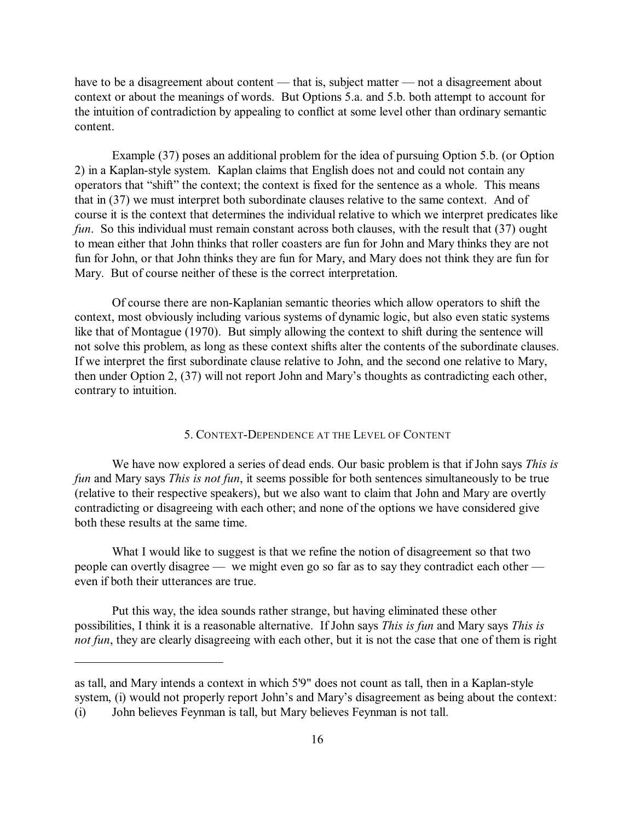have to be a disagreement about content — that is, subject matter — not a disagreement about context or about the meanings of words. But Options 5.a. and 5.b. both attempt to account for the intuition of contradiction by appealing to conflict at some level other than ordinary semantic content.

Example (37) poses an additional problem for the idea of pursuing Option 5.b. (or Option 2) in a Kaplan-style system. Kaplan claims that English does not and could not contain any operators that "shift" the context; the context is fixed for the sentence as a whole. This means that in (37) we must interpret both subordinate clauses relative to the same context. And of course it is the context that determines the individual relative to which we interpret predicates like *fun*. So this individual must remain constant across both clauses, with the result that (37) ought to mean either that John thinks that roller coasters are fun for John and Mary thinks they are not fun for John, or that John thinks they are fun for Mary, and Mary does not think they are fun for Mary. But of course neither of these is the correct interpretation.

Of course there are non-Kaplanian semantic theories which allow operators to shift the context, most obviously including various systems of dynamic logic, but also even static systems like that of Montague (1970). But simply allowing the context to shift during the sentence will not solve this problem, as long as these context shifts alter the contents of the subordinate clauses. If we interpret the first subordinate clause relative to John, and the second one relative to Mary, then under Option 2, (37) will not report John and Mary's thoughts as contradicting each other, contrary to intuition.

#### 5. CONTEXT-DEPENDENCE AT THE LEVEL OF CONTENT

We have now explored a series of dead ends. Our basic problem is that if John says *This is fun* and Mary says *This is not fun*, it seems possible for both sentences simultaneously to be true (relative to their respective speakers), but we also want to claim that John and Mary are overtly contradicting or disagreeing with each other; and none of the options we have considered give both these results at the same time.

What I would like to suggest is that we refine the notion of disagreement so that two people can overtly disagree — we might even go so far as to say they contradict each other even if both their utterances are true.

Put this way, the idea sounds rather strange, but having eliminated these other possibilities, I think it is a reasonable alternative. If John says *This is fun* and Mary says *This is not fun*, they are clearly disagreeing with each other, but it is not the case that one of them is right

as tall, and Mary intends a context in which 5'9" does not count as tall, then in a Kaplan-style system, (i) would not properly report John's and Mary's disagreement as being about the context: (i) John believes Feynman is tall, but Mary believes Feynman is not tall.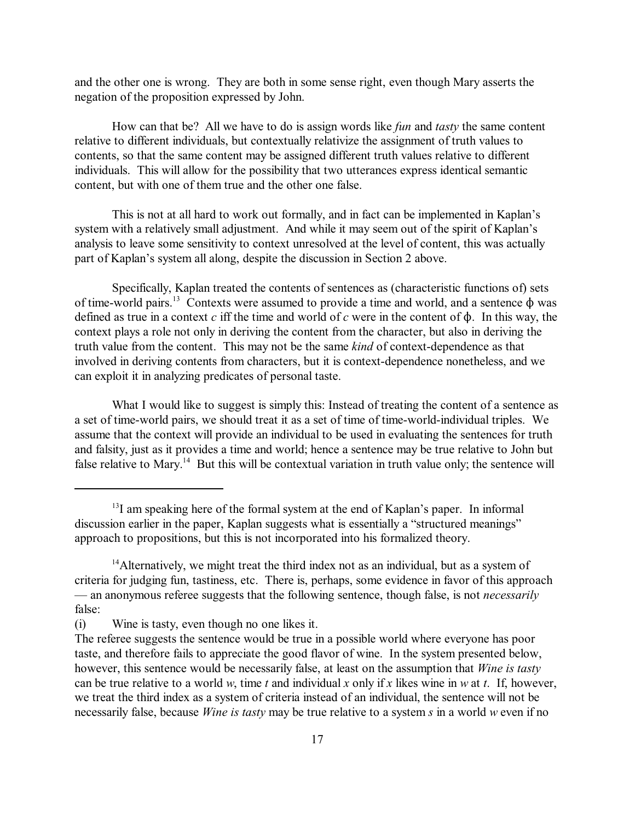and the other one is wrong. They are both in some sense right, even though Mary asserts the negation of the proposition expressed by John.

How can that be? All we have to do is assign words like *fun* and *tasty* the same content relative to different individuals, but contextually relativize the assignment of truth values to contents, so that the same content may be assigned different truth values relative to different individuals. This will allow for the possibility that two utterances express identical semantic content, but with one of them true and the other one false.

This is not at all hard to work out formally, and in fact can be implemented in Kaplan's system with a relatively small adjustment. And while it may seem out of the spirit of Kaplan's analysis to leave some sensitivity to context unresolved at the level of content, this was actually part of Kaplan's system all along, despite the discussion in Section 2 above.

Specifically, Kaplan treated the contents of sentences as (characteristic functions of) sets of time-world pairs.<sup>13</sup> Contexts were assumed to provide a time and world, and a sentence  $\phi$  was defined as true in a context  $c$  iff the time and world of  $c$  were in the content of  $\phi$ . In this way, the context plays a role not only in deriving the content from the character, but also in deriving the truth value from the content. This may not be the same *kind* of context-dependence as that involved in deriving contents from characters, but it is context-dependence nonetheless, and we can exploit it in analyzing predicates of personal taste.

What I would like to suggest is simply this: Instead of treating the content of a sentence as a set of time-world pairs, we should treat it as a set of time of time-world-individual triples. We assume that the context will provide an individual to be used in evaluating the sentences for truth and falsity, just as it provides a time and world; hence a sentence may be true relative to John but false relative to Mary.<sup>14</sup> But this will be contextual variation in truth value only; the sentence will

 $13$ I am speaking here of the formal system at the end of Kaplan's paper. In informal discussion earlier in the paper, Kaplan suggests what is essentially a "structured meanings" approach to propositions, but this is not incorporated into his formalized theory.

 $<sup>14</sup>$ Alternatively, we might treat the third index not as an individual, but as a system of</sup> criteria for judging fun, tastiness, etc. There is, perhaps, some evidence in favor of this approach — an anonymous referee suggests that the following sentence, though false, is not *necessarily* false:

<sup>(</sup>i) Wine is tasty, even though no one likes it.

The referee suggests the sentence would be true in a possible world where everyone has poor taste, and therefore fails to appreciate the good flavor of wine. In the system presented below, however, this sentence would be necessarily false, at least on the assumption that *Wine is tasty* can be true relative to a world *w*, time *t* and individual *x* only if *x* likes wine in *w* at *t*. If, however, we treat the third index as a system of criteria instead of an individual, the sentence will not be necessarily false, because *Wine is tasty* may be true relative to a system *s* in a world *w* even if no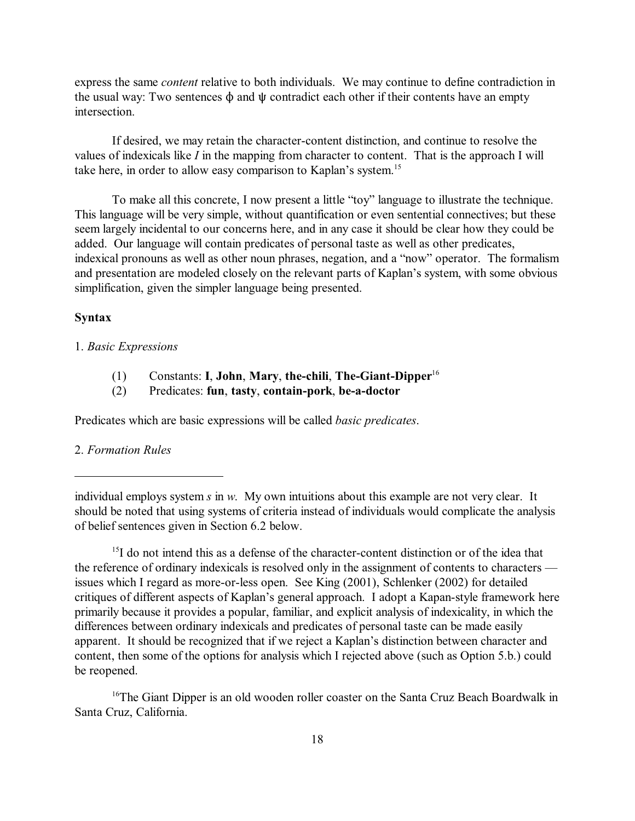express the same *content* relative to both individuals. We may continue to define contradiction in the usual way: Two sentences  $\phi$  and  $\psi$  contradict each other if their contents have an empty intersection.

If desired, we may retain the character-content distinction, and continue to resolve the values of indexicals like *I* in the mapping from character to content. That is the approach I will take here, in order to allow easy comparison to Kaplan's system.<sup>15</sup>

To make all this concrete, I now present a little "toy" language to illustrate the technique. This language will be very simple, without quantification or even sentential connectives; but these seem largely incidental to our concerns here, and in any case it should be clear how they could be added. Our language will contain predicates of personal taste as well as other predicates, indexical pronouns as well as other noun phrases, negation, and a "now" operator. The formalism and presentation are modeled closely on the relevant parts of Kaplan's system, with some obvious simplification, given the simpler language being presented.

#### **Syntax**

#### 1. *Basic Expressions*

- (1) Constants: **I**, **John**, **Mary**, **the-chili**, **The-Giant-Dipper**<sup>16</sup>
- (2) Predicates: **fun**, **tasty**, **contain-pork**, **be-a-doctor**

Predicates which are basic expressions will be called *basic predicates*.

## 2. *Formation Rules*

 $15$ I do not intend this as a defense of the character-content distinction or of the idea that the reference of ordinary indexicals is resolved only in the assignment of contents to characters issues which I regard as more-or-less open. See King (2001), Schlenker (2002) for detailed critiques of different aspects of Kaplan's general approach. I adopt a Kapan-style framework here primarily because it provides a popular, familiar, and explicit analysis of indexicality, in which the differences between ordinary indexicals and predicates of personal taste can be made easily apparent. It should be recognized that if we reject a Kaplan's distinction between character and content, then some of the options for analysis which I rejected above (such as Option 5.b.) could be reopened.

<sup>16</sup>The Giant Dipper is an old wooden roller coaster on the Santa Cruz Beach Boardwalk in Santa Cruz, California.

individual employs system *s* in *w*. My own intuitions about this example are not very clear. It should be noted that using systems of criteria instead of individuals would complicate the analysis of belief sentences given in Section 6.2 below.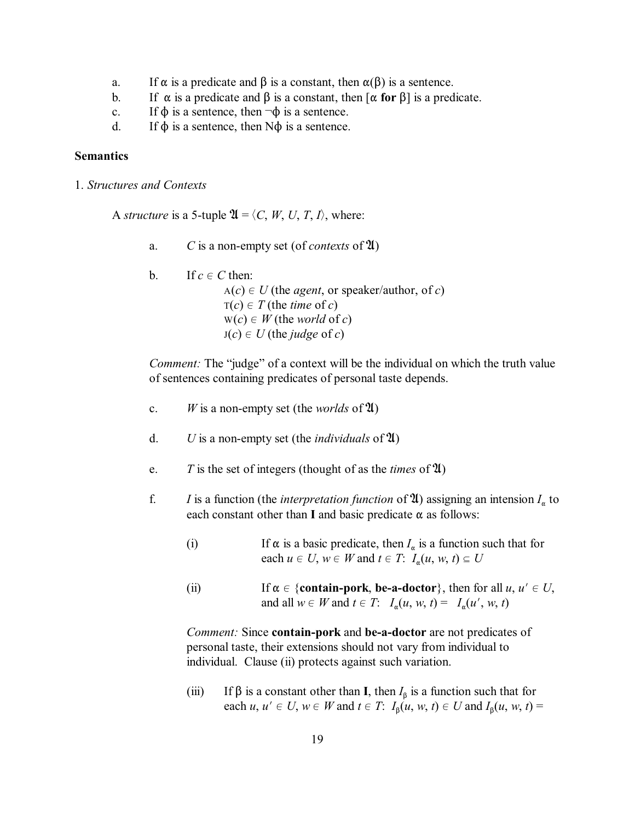- a. If  $\alpha$  is a predicate and  $\beta$  is a constant, then  $\alpha(\beta)$  is a sentence.
- b. If  $\alpha$  is a predicate and  $\beta$  is a constant, then  $\lceil \alpha \text{ for } \beta \rceil$  is a predicate.
- c. If  $\phi$  is a sentence, then  $\neg \phi$  is a sentence.
- d. If  $\phi$  is a sentence, then N $\phi$  is a sentence.

# **Semantics**

1. *Structures and Contexts*

A *structure* is a 5-tuple  $\mathfrak{A} = \langle C, W, U, T, I \rangle$ , where:

- a. *C* is a non-empty set (of *contexts* of A)
- b. If  $c \in C$  then:

 $A(c) \in U$  (the *agent*, or speaker/author, of *c*)  $T(c) \in T$  (the *time* of *c*)  $W(c) \in W$  (the *world* of *c*)  $J(c) \in U$  (the *judge* of *c*)

*Comment:* The "judge" of a context will be the individual on which the truth value of sentences containing predicates of personal taste depends.

- c. *W* is a non-empty set (the *worlds* of  $\mathfrak{A}$ )
- d. *U* is a non-empty set (the *individuals* of A)
- e.  $T$  is the set of integers (thought of as the *times* of  $\mathfrak{A}$ )
- f. *I* is a function (the *interpretation function* of  $\mathfrak{A}$ ) assigning an intension  $I_{\alpha}$  to each constant other than **I** and basic predicate  $\alpha$  as follows:
	- (i) If  $\alpha$  is a basic predicate, then  $I_{\alpha}$  is a function such that for each  $u \in U$ ,  $w \in W$  and  $t \in T$ :  $I_{\alpha}(u, w, t) \subseteq U$
	- (ii) If  $\alpha \in \{\text{contain-pork}, \text{ be-a-doctor}\}\,$ , then for all  $u, u' \in U$ , and all  $w \in W$  and  $t \in T$ :  $I_{\alpha}(u, w, t) = I_{\alpha}(u', w, t)$

*Comment:* Since **contain-pork** and **be-a-doctor** are not predicates of personal taste, their extensions should not vary from individual to individual. Clause (ii) protects against such variation.

(iii) If  $\beta$  is a constant other than **I**, then  $I_{\beta}$  is a function such that for each  $u, u' \in U$ ,  $w \in W$  and  $t \in T$ :  $I_0(u, w, t) \in U$  and  $I_0(u, w, t) =$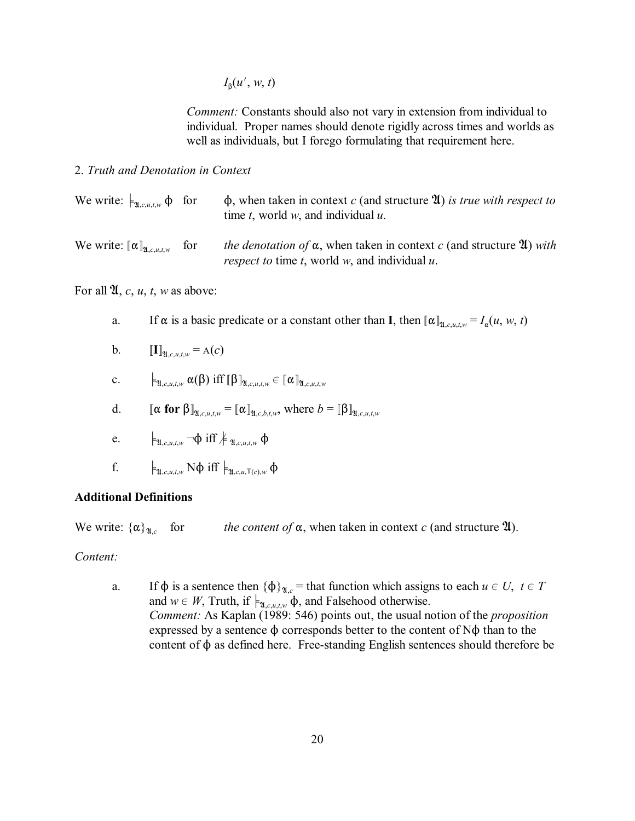$I_\beta(u', w, t)$ 

*Comment:* Constants should also not vary in extension from individual to individual. Proper names should denote rigidly across times and worlds as well as individuals, but I forego formulating that requirement here.

# 2. *Truth and Denotation in Context*

| We write: $\models_{\mathfrak{A},c,u,t,w} \varphi$ for | $\phi$ , when taken in context c (and structure $\mathfrak{A}$ ) is true with respect to |
|--------------------------------------------------------|------------------------------------------------------------------------------------------|
|                                                        | time t, world w, and individual $u$ .                                                    |
|                                                        |                                                                                          |

We write:  $\llbracket \alpha \rrbracket_{\mathfrak{A},c,u,t,w}$ for *the denotation of*  $\alpha$ , when taken in context *c* (and structure  $\mathfrak{A}$ ) with *respect to* time *t*, world *w*, and individual *u*.

For all  $\mathfrak{A}$ , *c*, *u*, *t*, *w* as above:

- a. If  $\alpha$  is a basic predicate or a constant other than **I**, then  $[\alpha]_{\mathfrak{A}_{L,c,u,t,w}} = I_{\alpha}(u, w, t)$
- **b.**  $[\mathbf{I}]_{\mathfrak{A},c,u,t,w} = A(c)$
- $\mathbf{c}. \qquad \quad \models_{\mathfrak{A},c,u,t,w} \alpha(\beta) \text{ iff } \llbracket \beta \rrbracket_{\mathfrak{A},c,u,t,w} \in \llbracket \alpha \rrbracket_{\mathfrak{A},c,u,t,w}$
- d.  $\llbracket \alpha \text{ for } \beta \rrbracket_{\mathfrak{A},c,u,t,w} = \llbracket \alpha \rrbracket_{\mathfrak{A},c,b,t,w}, \text{ where } b = \llbracket \beta \rrbracket_{\mathfrak{A},c,u,t,w}$
- e.  $\vdash_{\mathfrak{A},c,u,t,w} \neg \phi \text{ iff } \nvdash_{\mathfrak{A},c,u,t,w} \phi$
- f.  $\qquad \models_{\mathfrak{A},c,u,t,w} \mathbb{N}\phi \text{ iff } \models_{\mathfrak{A},c,u,\mathcal{T}(c),w} \phi$

# **Additional Definitions**

We write:  $\{\alpha\}_{\alpha,c}$  for *the content of*  $\alpha$ , when taken in context *c* (and structure  $\mathfrak{A}$ ).

### *Content:*

a. If  $\phi$  is a sentence then  ${\lbrace \phi \rbrace}_{\mathfrak{A},c}$  = that function which assigns to each  $u \in U$ ,  $t \in T$ and  $w \in W$ , Truth, if  $\models_{\mathfrak{A},c,u,t,w} \Phi$ , and Falsehood otherwise. *Comment:* As Kaplan (1989: 546) points out, the usual notion of the *proposition* expressed by a sentence  $\phi$  corresponds better to the content of N $\phi$  than to the content of  $\phi$  as defined here. Free-standing English sentences should therefore be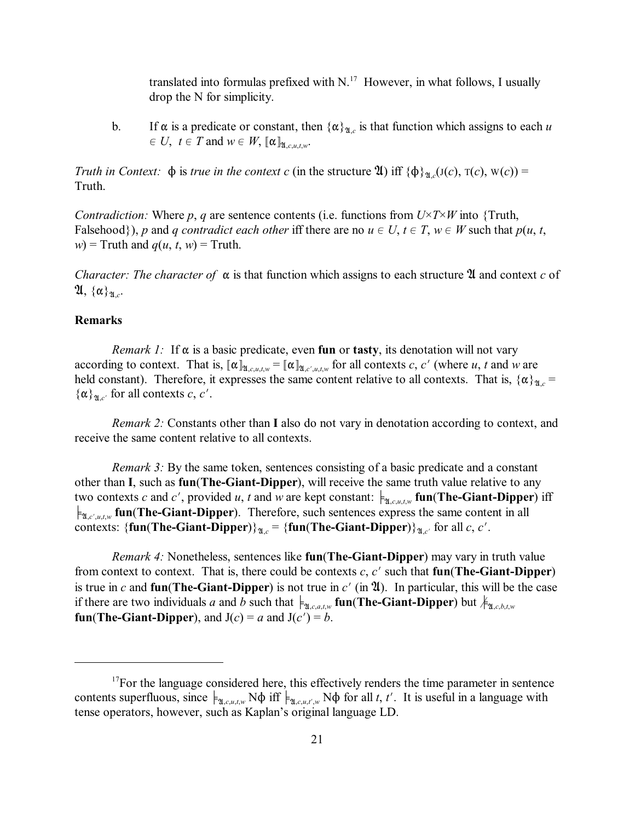translated into formulas prefixed with  $N<sup>17</sup>$  However, in what follows, I usually drop the N for simplicity.

b. If  $\alpha$  is a predicate or constant, then  $\{\alpha\}_{\alpha,c}$  is that function which assigns to each *u*  $\in U$ ,  $t \in T$  and  $w \in W$ ,  $[\![\alpha]\!]_{\mathfrak{A},c,u,t,w}$ .

*Truth* in Context:  $\phi$  is *true in the context c* (in the structure  $\mathfrak{A}$ ) iff  $\{\phi\}_{\mathfrak{A},c}(J(c), T(c), W(c))$  = Truth.

*Contradiction:* Where *p*, *q* are sentence contents (i.e. functions from  $U \times T \times W$  into {Truth, Falsehood}), *p* and *q contradict each other* iff there are no  $u \in U$ ,  $t \in T$ ,  $w \in W$  such that  $p(u, t)$ ,  $w$ ) = Truth and  $q(u, t, w)$  = Truth.

*Character: The character of*  $\alpha$  is that function which assigns to each structure  $\alpha$  and context *c* of  $\mathfrak{A},\, \{\alpha\}_{\mathfrak{A},c}.$ 

# **Remarks**

*Remark 1:* If  $\alpha$  is a basic predicate, even fun or tasty, its denotation will not vary according to context. That is,  $[\![\alpha]\!]_{\mathfrak{A},c,u,t,w} = [\![\alpha]\!]_{\mathfrak{A},c',u,t,w}$  for all contexts *c*, *c'* (where *u*, *t* and *w* are held constant). Therefore, it expresses the same content relative to all contexts. That is,  $\{\alpha\}_{\mathfrak{A},c}$  =  ${\alpha}_{\mathfrak{A},c'}$  for all contexts *c*, *c'*.

*Remark 2:* Constants other than **I** also do not vary in denotation according to context, and receive the same content relative to all contexts.

*Remark 3:* By the same token, sentences consisting of a basic predicate and a constant other than **I**, such as **fun**(**The-Giant-Dipper**), will receive the same truth value relative to any two contexts *c* and *c'*, provided *u*, *t* and *w* are kept constant:  $\big|_{\mathfrak{A}, c, u, t, w}$  fun(The-Giant-Dipper) iff  $\big|_{\mathfrak{A},c',u,t,w}$  fun(The-Giant-Dipper). Therefore, such sentences express the same content in all contexts: {fun(The-Giant-Dipper)}  $_{\mathfrak{A},c}$  = {fun(The-Giant-Dipper)}  $_{\mathfrak{A},c'}$  for all *c*, *c'*.

*Remark 4:* Nonetheless, sentences like **fun**(**The-Giant-Dipper**) may vary in truth value from context to context. That is, there could be contexts  $c$ ,  $c'$  such that **fun**(**The-Giant-Dipper**) is true in *c* and **fun**(**The-Giant-Dipper**) is not true in  $c'$  (in  $\mathfrak{A}$ ). In particular, this will be the case if there are two individuals *a* and *b* such that  $\models_{\mathfrak{A},c,a,t,w}$  fun(The-Giant-Dipper) but  $\nmid_{\mathfrak{A},c,b,t,w}$ **fun**(**The-Giant-Dipper**), and  $J(c) = a$  and  $J(c') = b$ .

 $17$  For the language considered here, this effectively renders the time parameter in sentence contents superfluous, since  $\big|_{\mathfrak{A}_{c,u,t,w}} N\phi$  iff  $\big|_{\mathfrak{A}_{c,u,t',w}} N\phi$  for all *t*, *t'*. It is useful in a language with tense operators, however, such as Kaplan's original language LD.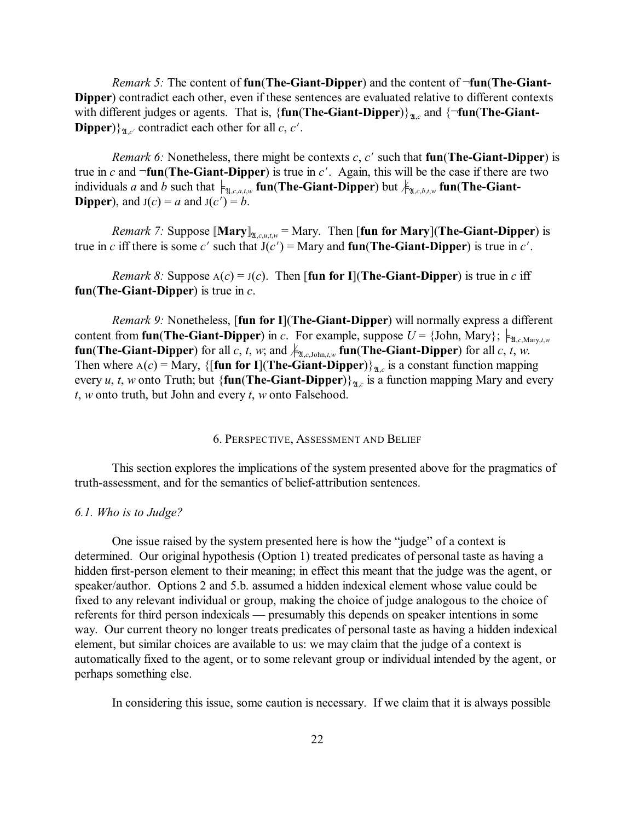*Remark 5:* The content of **fun**(**The-Giant-Dipper**) and the content of ¬**fun**(**The-Giant-Dipper**) contradict each other, even if these sentences are evaluated relative to different contexts with different judges or agents. That is, {fun(The-Giant-Dipper)}<sub>\\particle</sub> and {¬fun(The-Giant-**Dipper**)}  $_{\mathfrak{A},c'}$  contradict each other for all *c*, *c'*.

*Remark 6:* Nonetheless, there might be contexts  $c$ ,  $c'$  such that **fun**(**The-Giant-Dipper**) is true in *c* and  $\neg$ **fun**(**The-Giant-Dipper**) is true in *c'*. Again, this will be the case if there are two individuals *a* and *b* such that  $\models_{\mathfrak{A},c,a,t,w}$  fun(The-Giant-Dipper) but  $\nmid_{\mathfrak{A},c,b,t,w}$  fun(The-Giant-**Dipper**), and  $J(c) = a$  and  $J(c') = b$ .

*Remark 7:* Suppose  $[Mary]_{\mathfrak{A},c,u,t,w} = \text{Mary}$ . Then [fun for Mary](The-Giant-Dipper) is true in *c* iff there is some *c'* such that  $J(c') =$  Mary and **fun**(**The-Giant-Dipper**) is true in *c'*.

*Remark 8:* Suppose  $A(c) = J(c)$ . Then [**fun for I**](**The-Giant-Dipper**) is true in *c* iff **fun**(**The-Giant-Dipper**) is true in *c*.

*Remark 9:* Nonetheless, [**fun for I**](**The-Giant-Dipper**) will normally express a different content from **fun(The-Giant-Dipper**) in *c*. For example, suppose  $U = \{\text{John}, \text{Mary}\};\ |_{\mathfrak{A}_{,c,\text{Mary},t,w}}\}$ **fun**(The-Giant-Dipper) for all *c*, *t*, *w*; and  $\not\models_{\mathfrak{A},c, \text{John},t,w}$  fun(The-Giant-Dipper) for all *c*, *t*, *w*. Then where  $A(c) =$  Mary, {[fun for I](The-Giant-Dipper)}  $a_{i,c}$  is a constant function mapping every *u*, *t*, *w* onto Truth; but {fun(The-Giant-Dipper)} $_{\mathfrak{A},c}$  is a function mapping Mary and every *t*, *w* onto truth, but John and every *t*, *w* onto Falsehood.

6. PERSPECTIVE, ASSESSMENT AND BELIEF

This section explores the implications of the system presented above for the pragmatics of truth-assessment, and for the semantics of belief-attribution sentences.

## *6.1. Who is to Judge?*

One issue raised by the system presented here is how the "judge" of a context is determined. Our original hypothesis (Option 1) treated predicates of personal taste as having a hidden first-person element to their meaning; in effect this meant that the judge was the agent, or speaker/author. Options 2 and 5.b. assumed a hidden indexical element whose value could be fixed to any relevant individual or group, making the choice of judge analogous to the choice of referents for third person indexicals — presumably this depends on speaker intentions in some way. Our current theory no longer treats predicates of personal taste as having a hidden indexical element, but similar choices are available to us: we may claim that the judge of a context is automatically fixed to the agent, or to some relevant group or individual intended by the agent, or perhaps something else.

In considering this issue, some caution is necessary. If we claim that it is always possible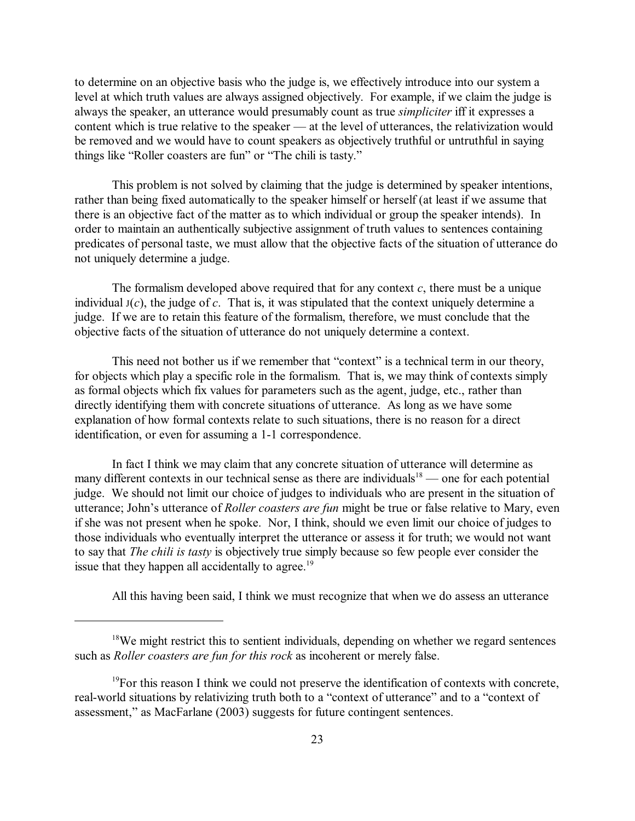to determine on an objective basis who the judge is, we effectively introduce into our system a level at which truth values are always assigned objectively. For example, if we claim the judge is always the speaker, an utterance would presumably count as true *simpliciter* iff it expresses a content which is true relative to the speaker — at the level of utterances, the relativization would be removed and we would have to count speakers as objectively truthful or untruthful in saying things like "Roller coasters are fun" or "The chili is tasty."

This problem is not solved by claiming that the judge is determined by speaker intentions, rather than being fixed automatically to the speaker himself or herself (at least if we assume that there is an objective fact of the matter as to which individual or group the speaker intends). In order to maintain an authentically subjective assignment of truth values to sentences containing predicates of personal taste, we must allow that the objective facts of the situation of utterance do not uniquely determine a judge.

The formalism developed above required that for any context *c*, there must be a unique individual  $J(c)$ , the judge of  $c$ . That is, it was stipulated that the context uniquely determine a judge. If we are to retain this feature of the formalism, therefore, we must conclude that the objective facts of the situation of utterance do not uniquely determine a context.

This need not bother us if we remember that "context" is a technical term in our theory, for objects which play a specific role in the formalism. That is, we may think of contexts simply as formal objects which fix values for parameters such as the agent, judge, etc., rather than directly identifying them with concrete situations of utterance. As long as we have some explanation of how formal contexts relate to such situations, there is no reason for a direct identification, or even for assuming a 1-1 correspondence.

In fact I think we may claim that any concrete situation of utterance will determine as many different contexts in our technical sense as there are individuals $\beta^8$  — one for each potential judge. We should not limit our choice of judges to individuals who are present in the situation of utterance; John's utterance of *Roller coasters are fun* might be true or false relative to Mary, even if she was not present when he spoke. Nor, I think, should we even limit our choice of judges to those individuals who eventually interpret the utterance or assess it for truth; we would not want to say that *The chili is tasty* is objectively true simply because so few people ever consider the issue that they happen all accidentally to agree. $19$ 

All this having been said, I think we must recognize that when we do assess an utterance

 $18$ We might restrict this to sentient individuals, depending on whether we regard sentences such as *Roller coasters are fun for this rock* as incoherent or merely false.

 $^{19}$ For this reason I think we could not preserve the identification of contexts with concrete, real-world situations by relativizing truth both to a "context of utterance" and to a "context of assessment," as MacFarlane (2003) suggests for future contingent sentences.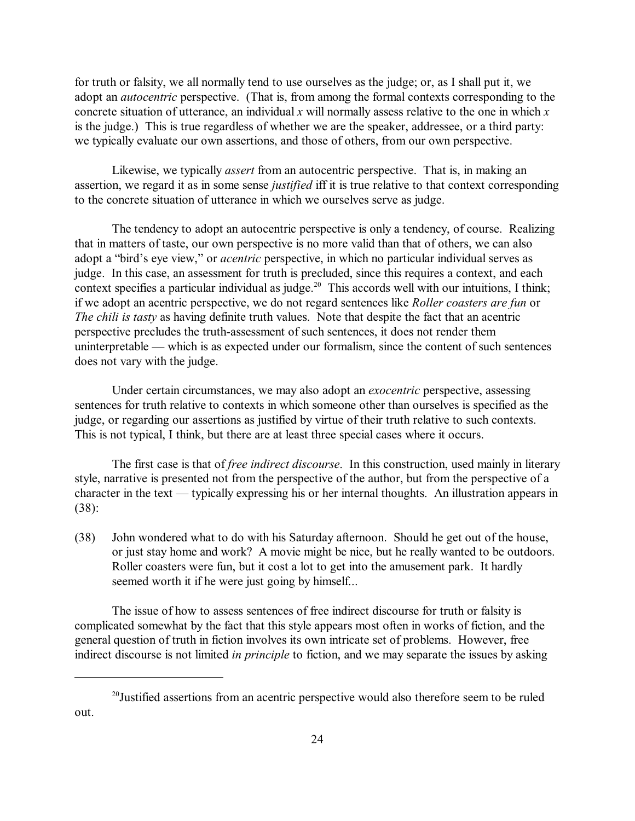for truth or falsity, we all normally tend to use ourselves as the judge; or, as I shall put it, we adopt an *autocentric* perspective. (That is, from among the formal contexts corresponding to the concrete situation of utterance, an individual *x* will normally assess relative to the one in which *x* is the judge.) This is true regardless of whether we are the speaker, addressee, or a third party: we typically evaluate our own assertions, and those of others, from our own perspective.

Likewise, we typically *assert* from an autocentric perspective. That is, in making an assertion, we regard it as in some sense *justified* iff it is true relative to that context corresponding to the concrete situation of utterance in which we ourselves serve as judge.

The tendency to adopt an autocentric perspective is only a tendency, of course. Realizing that in matters of taste, our own perspective is no more valid than that of others, we can also adopt a "bird's eye view," or *acentric* perspective, in which no particular individual serves as judge. In this case, an assessment for truth is precluded, since this requires a context, and each context specifies a particular individual as judge.<sup>20</sup> This accords well with our intuitions, I think; if we adopt an acentric perspective, we do not regard sentences like *Roller coasters are fun* or *The chili is tasty* as having definite truth values. Note that despite the fact that an acentric perspective precludes the truth-assessment of such sentences, it does not render them uninterpretable — which is as expected under our formalism, since the content of such sentences does not vary with the judge.

Under certain circumstances, we may also adopt an *exocentric* perspective, assessing sentences for truth relative to contexts in which someone other than ourselves is specified as the judge, or regarding our assertions as justified by virtue of their truth relative to such contexts. This is not typical, I think, but there are at least three special cases where it occurs.

The first case is that of *free indirect discourse*. In this construction, used mainly in literary style, narrative is presented not from the perspective of the author, but from the perspective of a character in the text — typically expressing his or her internal thoughts. An illustration appears in (38):

(38) John wondered what to do with his Saturday afternoon. Should he get out of the house, or just stay home and work? A movie might be nice, but he really wanted to be outdoors. Roller coasters were fun, but it cost a lot to get into the amusement park. It hardly seemed worth it if he were just going by himself...

The issue of how to assess sentences of free indirect discourse for truth or falsity is complicated somewhat by the fact that this style appears most often in works of fiction, and the general question of truth in fiction involves its own intricate set of problems. However, free indirect discourse is not limited *in principle* to fiction, and we may separate the issues by asking

 $^{20}$ Justified assertions from an acentric perspective would also therefore seem to be ruled out.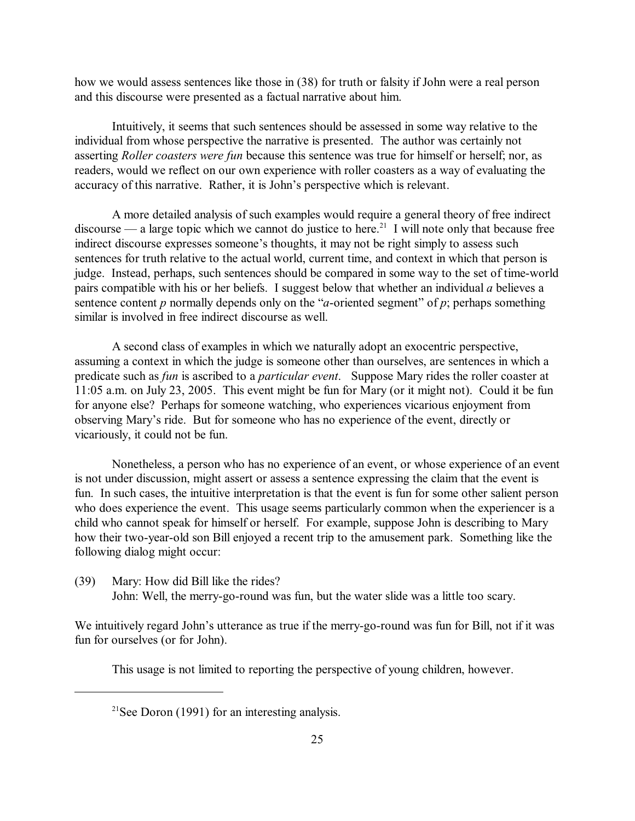how we would assess sentences like those in (38) for truth or falsity if John were a real person and this discourse were presented as a factual narrative about him.

Intuitively, it seems that such sentences should be assessed in some way relative to the individual from whose perspective the narrative is presented. The author was certainly not asserting *Roller coasters were fun* because this sentence was true for himself or herself; nor, as readers, would we reflect on our own experience with roller coasters as a way of evaluating the accuracy of this narrative. Rather, it is John's perspective which is relevant.

A more detailed analysis of such examples would require a general theory of free indirect discourse — a large topic which we cannot do justice to here.<sup>21</sup> I will note only that because free indirect discourse expresses someone's thoughts, it may not be right simply to assess such sentences for truth relative to the actual world, current time, and context in which that person is judge. Instead, perhaps, such sentences should be compared in some way to the set of time-world pairs compatible with his or her beliefs. I suggest below that whether an individual *a* believes a sentence content *p* normally depends only on the "*a*-oriented segment" of *p*; perhaps something similar is involved in free indirect discourse as well.

A second class of examples in which we naturally adopt an exocentric perspective, assuming a context in which the judge is someone other than ourselves, are sentences in which a predicate such as *fun* is ascribed to a *particular event*. Suppose Mary rides the roller coaster at 11:05 a.m. on July 23, 2005. This event might be fun for Mary (or it might not). Could it be fun for anyone else? Perhaps for someone watching, who experiences vicarious enjoyment from observing Mary's ride. But for someone who has no experience of the event, directly or vicariously, it could not be fun.

Nonetheless, a person who has no experience of an event, or whose experience of an event is not under discussion, might assert or assess a sentence expressing the claim that the event is fun. In such cases, the intuitive interpretation is that the event is fun for some other salient person who does experience the event. This usage seems particularly common when the experiencer is a child who cannot speak for himself or herself. For example, suppose John is describing to Mary how their two-year-old son Bill enjoyed a recent trip to the amusement park. Something like the following dialog might occur:

(39) Mary: How did Bill like the rides? John: Well, the merry-go-round was fun, but the water slide was a little too scary.

We intuitively regard John's utterance as true if the merry-go-round was fun for Bill, not if it was fun for ourselves (or for John).

This usage is not limited to reporting the perspective of young children, however.

 $2^{1}$ See Doron (1991) for an interesting analysis.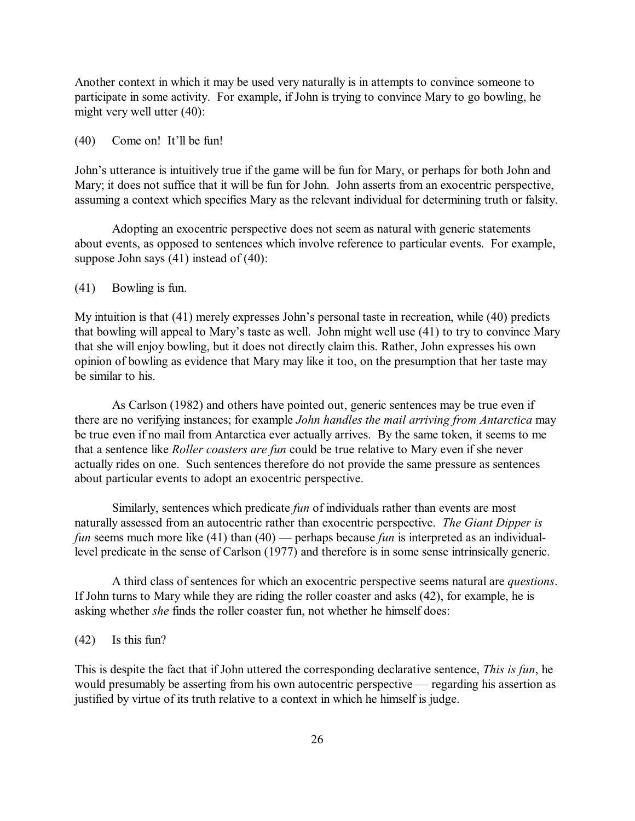Another context in which it may be used very naturally is in attempts to convince someone to participate in some activity. For example, if John is trying to convince Mary to go bowling, he might very well utter (40):

(40) Come on! It'll be fun!

John's utterance is intuitively true if the game will be fun for Mary, or perhaps for both John and Mary; it does not suffice that it will be fun for John. John asserts from an exocentric perspective, assuming a context which specifies Mary as the relevant individual for determining truth or falsity.

Adopting an exocentric perspective does not seem as natural with generic statements about events, as opposed to sentences which involve reference to particular events. For example, suppose John says (41) instead of (40):

# (41) Bowling is fun.

My intuition is that (41) merely expresses John's personal taste in recreation, while (40) predicts that bowling will appeal to Mary's taste as well. John might well use (41) to try to convince Mary that she will enjoy bowling, but it does not directly claim this. Rather, John expresses his own opinion of bowling as evidence that Mary may like it too, on the presumption that her taste may be similar to his.

As Carlson (1982) and others have pointed out, generic sentences may be true even if there are no verifying instances; for example *John handles the mail arriving from Antarctica* may be true even if no mail from Antarctica ever actually arrives. By the same token, it seems to me that a sentence like *Roller coasters are fun* could be true relative to Mary even if she never actually rides on one. Such sentences therefore do not provide the same pressure as sentences about particular events to adopt an exocentric perspective.

Similarly, sentences which predicate *fun* of individuals rather than events are most naturally assessed from an autocentric rather than exocentric perspective. *The Giant Dipper is fun* seems much more like (41) than (40) — perhaps because *fun* is interpreted as an individuallevel predicate in the sense of Carlson (1977) and therefore is in some sense intrinsically generic.

A third class of sentences for which an exocentric perspective seems natural are *questions*. If John turns to Mary while they are riding the roller coaster and asks (42), for example, he is asking whether *she* finds the roller coaster fun, not whether he himself does:

## (42) Is this fun?

This is despite the fact that if John uttered the corresponding declarative sentence, *This is fun*, he would presumably be asserting from his own autocentric perspective — regarding his assertion as justified by virtue of its truth relative to a context in which he himself is judge.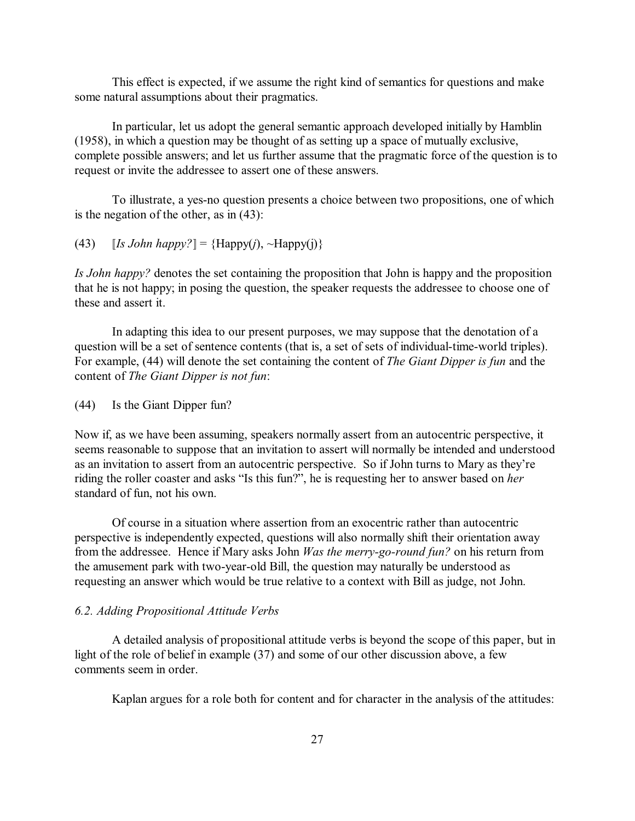This effect is expected, if we assume the right kind of semantics for questions and make some natural assumptions about their pragmatics.

In particular, let us adopt the general semantic approach developed initially by Hamblin (1958), in which a question may be thought of as setting up a space of mutually exclusive, complete possible answers; and let us further assume that the pragmatic force of the question is to request or invite the addressee to assert one of these answers.

To illustrate, a yes-no question presents a choice between two propositions, one of which is the negation of the other, as in (43):

(43) *Is John happy?*  $\equiv \{Happy(j), \sim Happy(j)\}$ 

*Is John happy?* denotes the set containing the proposition that John is happy and the proposition that he is not happy; in posing the question, the speaker requests the addressee to choose one of these and assert it.

In adapting this idea to our present purposes, we may suppose that the denotation of a question will be a set of sentence contents (that is, a set of sets of individual-time-world triples). For example, (44) will denote the set containing the content of *The Giant Dipper is fun* and the content of *The Giant Dipper is not fun*:

(44) Is the Giant Dipper fun?

Now if, as we have been assuming, speakers normally assert from an autocentric perspective, it seems reasonable to suppose that an invitation to assert will normally be intended and understood as an invitation to assert from an autocentric perspective. So if John turns to Mary as they're riding the roller coaster and asks "Is this fun?", he is requesting her to answer based on *her* standard of fun, not his own.

Of course in a situation where assertion from an exocentric rather than autocentric perspective is independently expected, questions will also normally shift their orientation away from the addressee. Hence if Mary asks John *Was the merry-go-round fun?* on his return from the amusement park with two-year-old Bill, the question may naturally be understood as requesting an answer which would be true relative to a context with Bill as judge, not John.

### *6.2. Adding Propositional Attitude Verbs*

A detailed analysis of propositional attitude verbs is beyond the scope of this paper, but in light of the role of belief in example (37) and some of our other discussion above, a few comments seem in order.

Kaplan argues for a role both for content and for character in the analysis of the attitudes: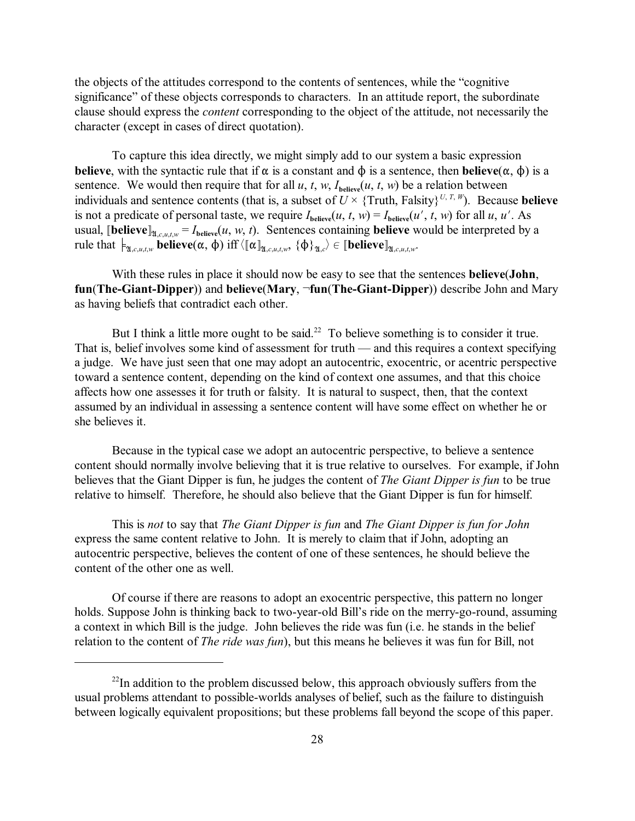the objects of the attitudes correspond to the contents of sentences, while the "cognitive significance" of these objects corresponds to characters. In an attitude report, the subordinate clause should express the *content* corresponding to the object of the attitude, not necessarily the character (except in cases of direct quotation).

To capture this idea directly, we might simply add to our system a basic expression **believe**, with the syntactic rule that if  $\alpha$  is a constant and  $\phi$  is a sentence, then **believe** $(\alpha, \phi)$  is a sentence. We would then require that for all  $u$ ,  $t$ ,  $w$ ,  $I_{\text{believe}}(u, t, w)$  be a relation between individuals and sentence contents (that is, a subset of  $U \times \{ \text{Truth}, \text{Falsity} \}^{U, T, W}$ ). Because **believe** is not a predicate of personal taste, we require  $I_{\text{believe}}(u, t, w) = I_{\text{believe}}(u', t, w)$  for all *u*, *u'*. As usual, [believe] $_{\mathfrak{A}_{c,u,t,w}} = I_{\text{believe}}(u, w, t)$ . Sentences containing believe would be interpreted by a  $\text{rule that } \models_{\mathfrak{A},c,u,t,w} \textbf{believe}(\alpha,\, \varphi) \text{ iff } \langle \llbracket \alpha \rrbracket_{\mathfrak{A},c,u,t,w}, \text{ } \{ \varphi \}_{\mathfrak{A},c} \rangle \in \llbracket \textbf{believe} \rrbracket_{\mathfrak{A},c,u,t,w}.$ 

With these rules in place it should now be easy to see that the sentences **believe**(**John**, **fun**(**The-Giant-Dipper**)) and **believe**(**Mary**, ¬**fun**(**The-Giant-Dipper**)) describe John and Mary as having beliefs that contradict each other.

But I think a little more ought to be said.<sup>22</sup> To believe something is to consider it true. That is, belief involves some kind of assessment for truth — and this requires a context specifying a judge. We have just seen that one may adopt an autocentric, exocentric, or acentric perspective toward a sentence content, depending on the kind of context one assumes, and that this choice affects how one assesses it for truth or falsity. It is natural to suspect, then, that the context assumed by an individual in assessing a sentence content will have some effect on whether he or she believes it.

Because in the typical case we adopt an autocentric perspective, to believe a sentence content should normally involve believing that it is true relative to ourselves. For example, if John believes that the Giant Dipper is fun, he judges the content of *The Giant Dipper is fun* to be true relative to himself. Therefore, he should also believe that the Giant Dipper is fun for himself.

This is *not* to say that *The Giant Dipper is fun* and *The Giant Dipper is fun for John* express the same content relative to John. It is merely to claim that if John, adopting an autocentric perspective, believes the content of one of these sentences, he should believe the content of the other one as well.

Of course if there are reasons to adopt an exocentric perspective, this pattern no longer holds. Suppose John is thinking back to two-year-old Bill's ride on the merry-go-round, assuming a context in which Bill is the judge. John believes the ride was fun (i.e. he stands in the belief relation to the content of *The ride was fun*), but this means he believes it was fun for Bill, not

 $^{22}$ In addition to the problem discussed below, this approach obviously suffers from the usual problems attendant to possible-worlds analyses of belief, such as the failure to distinguish between logically equivalent propositions; but these problems fall beyond the scope of this paper.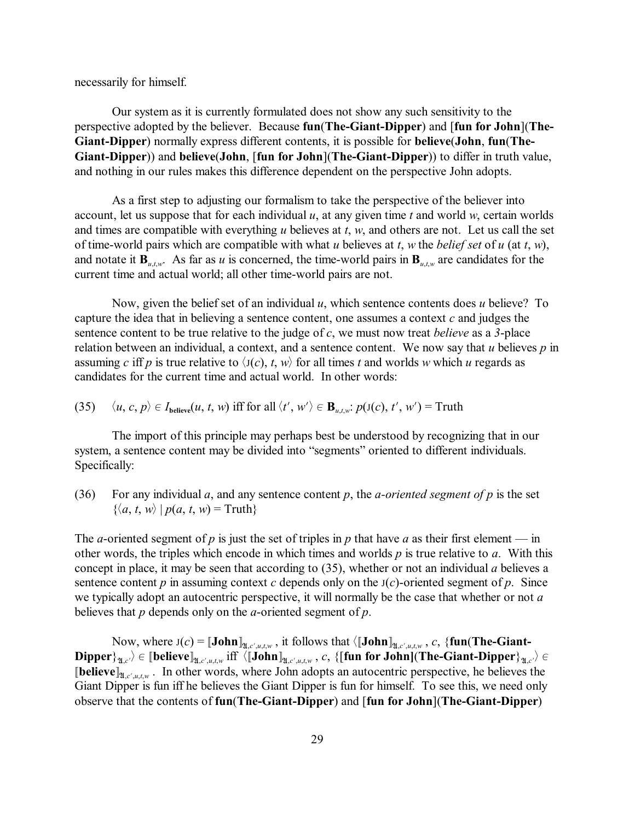necessarily for himself.

Our system as it is currently formulated does not show any such sensitivity to the perspective adopted by the believer. Because **fun**(**The-Giant-Dipper**) and [**fun for John**](**The-Giant-Dipper**) normally express different contents, it is possible for **believe**(**John**, **fun**(**The-Giant-Dipper**)) and **believe**(**John**, [**fun for John**](**The-Giant-Dipper**)) to differ in truth value, and nothing in our rules makes this difference dependent on the perspective John adopts.

As a first step to adjusting our formalism to take the perspective of the believer into account, let us suppose that for each individual *u*, at any given time *t* and world *w*, certain worlds and times are compatible with everything *u* believes at *t*, *w*, and others are not. Let us call the set of time-world pairs which are compatible with what *u* believes at *t*, *w* the *belief set* of *u* (at *t*, *w*), and notate it  $\mathbf{B}_{u,t,w}$ . As far as *u* is concerned, the time-world pairs in  $\mathbf{B}_{u,t,w}$  are candidates for the current time and actual world; all other time-world pairs are not.

Now, given the belief set of an individual *u*, which sentence contents does *u* believe? To capture the idea that in believing a sentence content, one assumes a context *c* and judges the sentence content to be true relative to the judge of *c*, we must now treat *believe* as a *3*-place relation between an individual, a context, and a sentence content. We now say that *u* believes *p* in assuming *c* iff *p* is true relative to  $\langle J(c), t, w \rangle$  for all times *t* and worlds *w* which *u* regards as candidates for the current time and actual world. In other words:

(35) 
$$
\langle u, c, p \rangle \in I_{\text{believe}}(u, t, w)
$$
 iff for all  $\langle t', w' \rangle \in \mathbf{B}_{u,t,w}: p(\mathbf{J}(c), t', w') = \text{Truth}$ 

The import of this principle may perhaps best be understood by recognizing that in our system, a sentence content may be divided into "segments" oriented to different individuals. Specifically:

(36) For any individual *a*, and any sentence content *p*, the *a-oriented segment of p* is the set  $\{\langle a, t, w \rangle \mid p(a, t, w) = \text{Truth}\}\$ 

The *a*-oriented segment of *p* is just the set of triples in *p* that have *a* as their first element — in other words, the triples which encode in which times and worlds *p* is true relative to *a*. With this concept in place, it may be seen that according to (35), whether or not an individual *a* believes a sentence content *p* in assuming context *c* depends only on the  $J(c)$ -oriented segment of *p*. Since we typically adopt an autocentric perspective, it will normally be the case that whether or not *a* believes that *p* depends only on the *a*-oriented segment of *p*.

Now, where  $J(c) = [\textbf{John}]_{\mathfrak{A},c',u,t,w}$ , it follows that  $\langle [\textbf{John}]_{\mathfrak{A},c',u,t,w}$ , c,  $\{ \textbf{fun}(\textbf{The-Giant-})\}$ Dipper $\rangle_{\frak{A},c'}\rangle\in\llbracket$ believe $\rrbracket_{\frak{A},c',u,t,w}$  iff  $\langle\llbracket\textbf{John}\rrbracket_{\frak{A},c',u,t,w}$  ,  $c,$   $\langle\llbracket\textbf{fun for John}\rrbracket(\textbf{The-Giant-Dipper}\rangle_{\frak{A},c'}\rangle\in$ [believe] $_{\mathfrak{A},c',u,t,w}$ . In other words, where John adopts an autocentric perspective, he believes the Giant Dipper is fun iff he believes the Giant Dipper is fun for himself. To see this, we need only observe that the contents of **fun**(**The-Giant-Dipper**) and [**fun for John**](**The-Giant-Dipper**)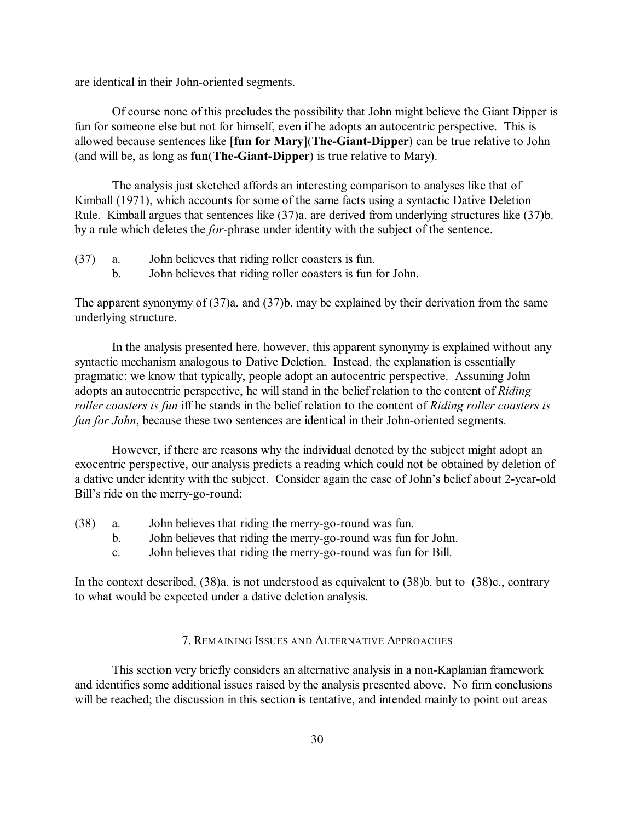are identical in their John-oriented segments.

Of course none of this precludes the possibility that John might believe the Giant Dipper is fun for someone else but not for himself, even if he adopts an autocentric perspective. This is allowed because sentences like [**fun for Mary**](**The-Giant-Dipper**) can be true relative to John (and will be, as long as **fun**(**The-Giant-Dipper**) is true relative to Mary).

The analysis just sketched affords an interesting comparison to analyses like that of Kimball (1971), which accounts for some of the same facts using a syntactic Dative Deletion Rule. Kimball argues that sentences like (37)a. are derived from underlying structures like (37)b. by a rule which deletes the *for*-phrase under identity with the subject of the sentence.

- (37) a. John believes that riding roller coasters is fun.
	- b. John believes that riding roller coasters is fun for John.

The apparent synonymy of  $(37)a$ . and  $(37)b$ . may be explained by their derivation from the same underlying structure.

In the analysis presented here, however, this apparent synonymy is explained without any syntactic mechanism analogous to Dative Deletion. Instead, the explanation is essentially pragmatic: we know that typically, people adopt an autocentric perspective. Assuming John adopts an autocentric perspective, he will stand in the belief relation to the content of *Riding roller coasters is fun* iff he stands in the belief relation to the content of *Riding roller coasters is fun for John*, because these two sentences are identical in their John-oriented segments.

However, if there are reasons why the individual denoted by the subject might adopt an exocentric perspective, our analysis predicts a reading which could not be obtained by deletion of a dative under identity with the subject. Consider again the case of John's belief about 2-year-old Bill's ride on the merry-go-round:

- (38) a. John believes that riding the merry-go-round was fun.
	- b. John believes that riding the merry-go-round was fun for John.
	- c. John believes that riding the merry-go-round was fun for Bill.

In the context described, (38)a. is not understood as equivalent to (38)b. but to (38)c., contrary to what would be expected under a dative deletion analysis.

# 7. REMAINING ISSUES AND ALTERNATIVE APPROACHES

This section very briefly considers an alternative analysis in a non-Kaplanian framework and identifies some additional issues raised by the analysis presented above. No firm conclusions will be reached; the discussion in this section is tentative, and intended mainly to point out areas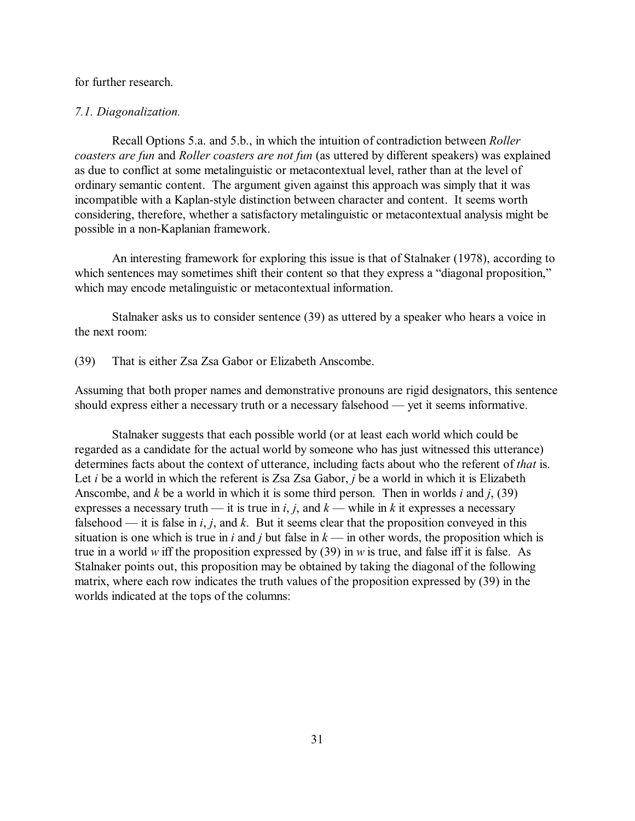for further research.

#### *7.1. Diagonalization.*

Recall Options 5.a. and 5.b., in which the intuition of contradiction between *Roller coasters are fun* and *Roller coasters are not fun* (as uttered by different speakers) was explained as due to conflict at some metalinguistic or metacontextual level, rather than at the level of ordinary semantic content. The argument given against this approach was simply that it was incompatible with a Kaplan-style distinction between character and content. It seems worth considering, therefore, whether a satisfactory metalinguistic or metacontextual analysis might be possible in a non-Kaplanian framework.

An interesting framework for exploring this issue is that of Stalnaker (1978), according to which sentences may sometimes shift their content so that they express a "diagonal proposition," which may encode metalinguistic or metacontextual information.

Stalnaker asks us to consider sentence (39) as uttered by a speaker who hears a voice in the next room:

(39) That is either Zsa Zsa Gabor or Elizabeth Anscombe.

Assuming that both proper names and demonstrative pronouns are rigid designators, this sentence should express either a necessary truth or a necessary falsehood — yet it seems informative.

Stalnaker suggests that each possible world (or at least each world which could be regarded as a candidate for the actual world by someone who has just witnessed this utterance) determines facts about the context of utterance, including facts about who the referent of *that* is. Let *i* be a world in which the referent is Zsa Zsa Gabor, *j* be a world in which it is Elizabeth Anscombe, and *k* be a world in which it is some third person. Then in worlds *i* and *j*, (39) expresses a necessary truth — it is true in *i*, *j*, and  $k$  — while in *k* it expresses a necessary falsehood — it is false in *i*, *j*, and *k*. But it seems clear that the proposition conveyed in this situation is one which is true in *i* and *j* but false in  $k$  — in other words, the proposition which is true in a world *w* iff the proposition expressed by (39) in *w* is true, and false iff it is false. As Stalnaker points out, this proposition may be obtained by taking the diagonal of the following matrix, where each row indicates the truth values of the proposition expressed by (39) in the worlds indicated at the tops of the columns: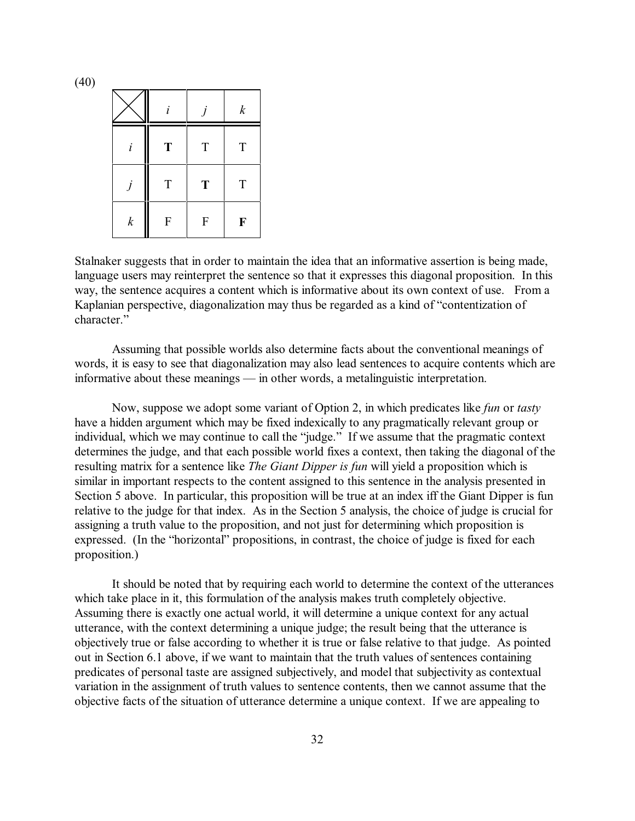(40)

|                  | i |                  | $\boldsymbol{k}$ |
|------------------|---|------------------|------------------|
| i                | T | $\mathbf T$      | $\mathbf T$      |
|                  | T | T                | $\mathbf T$      |
| $\boldsymbol{k}$ | F | $\boldsymbol{F}$ | $\mathbf F$      |

Stalnaker suggests that in order to maintain the idea that an informative assertion is being made, language users may reinterpret the sentence so that it expresses this diagonal proposition. In this way, the sentence acquires a content which is informative about its own context of use. From a Kaplanian perspective, diagonalization may thus be regarded as a kind of "contentization of character."

Assuming that possible worlds also determine facts about the conventional meanings of words, it is easy to see that diagonalization may also lead sentences to acquire contents which are informative about these meanings — in other words, a metalinguistic interpretation.

Now, suppose we adopt some variant of Option 2, in which predicates like *fun* or *tasty* have a hidden argument which may be fixed indexically to any pragmatically relevant group or individual, which we may continue to call the "judge." If we assume that the pragmatic context determines the judge, and that each possible world fixes a context, then taking the diagonal of the resulting matrix for a sentence like *The Giant Dipper is fun* will yield a proposition which is similar in important respects to the content assigned to this sentence in the analysis presented in Section 5 above. In particular, this proposition will be true at an index iff the Giant Dipper is fun relative to the judge for that index. As in the Section 5 analysis, the choice of judge is crucial for assigning a truth value to the proposition, and not just for determining which proposition is expressed. (In the "horizontal" propositions, in contrast, the choice of judge is fixed for each proposition.)

It should be noted that by requiring each world to determine the context of the utterances which take place in it, this formulation of the analysis makes truth completely objective. Assuming there is exactly one actual world, it will determine a unique context for any actual utterance, with the context determining a unique judge; the result being that the utterance is objectively true or false according to whether it is true or false relative to that judge. As pointed out in Section 6.1 above, if we want to maintain that the truth values of sentences containing predicates of personal taste are assigned subjectively, and model that subjectivity as contextual variation in the assignment of truth values to sentence contents, then we cannot assume that the objective facts of the situation of utterance determine a unique context. If we are appealing to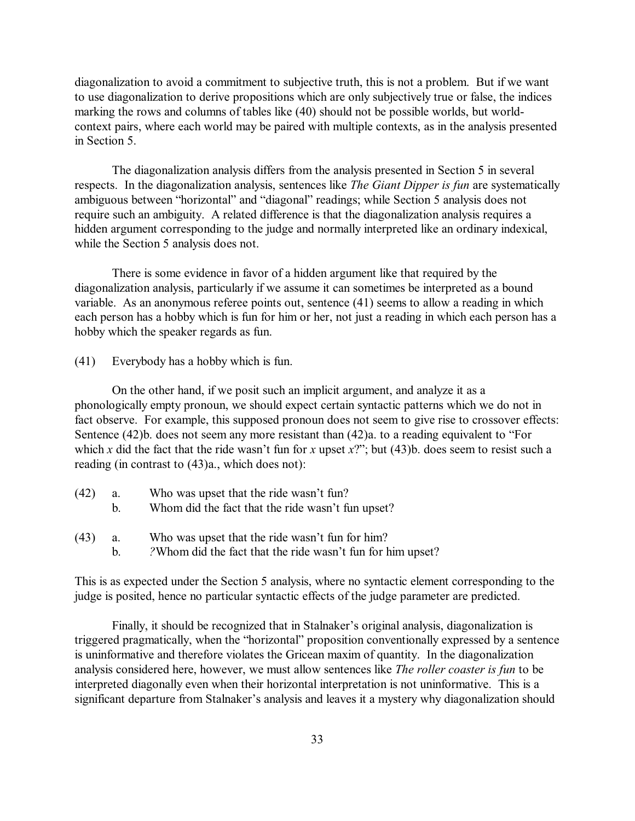diagonalization to avoid a commitment to subjective truth, this is not a problem. But if we want to use diagonalization to derive propositions which are only subjectively true or false, the indices marking the rows and columns of tables like (40) should not be possible worlds, but worldcontext pairs, where each world may be paired with multiple contexts, as in the analysis presented in Section 5.

The diagonalization analysis differs from the analysis presented in Section 5 in several respects. In the diagonalization analysis, sentences like *The Giant Dipper is fun* are systematically ambiguous between "horizontal" and "diagonal" readings; while Section 5 analysis does not require such an ambiguity. A related difference is that the diagonalization analysis requires a hidden argument corresponding to the judge and normally interpreted like an ordinary indexical, while the Section 5 analysis does not.

There is some evidence in favor of a hidden argument like that required by the diagonalization analysis, particularly if we assume it can sometimes be interpreted as a bound variable. As an anonymous referee points out, sentence (41) seems to allow a reading in which each person has a hobby which is fun for him or her, not just a reading in which each person has a hobby which the speaker regards as fun.

(41) Everybody has a hobby which is fun.

On the other hand, if we posit such an implicit argument, and analyze it as a phonologically empty pronoun, we should expect certain syntactic patterns which we do not in fact observe. For example, this supposed pronoun does not seem to give rise to crossover effects: Sentence (42)b. does not seem any more resistant than (42)a. to a reading equivalent to "For which *x* did the fact that the ride wasn't fun for *x* upset *x*?"; but (43)b. does seem to resist such a reading (in contrast to (43)a., which does not):

| (42) | a.      | Who was upset that the ride wasn't fun?                     |
|------|---------|-------------------------------------------------------------|
|      | h.      | Whom did the fact that the ride wasn't fun upset?           |
| (43) | a.      | Who was upset that the ride wasn't fun for him?             |
|      | $h_{-}$ | ? Whom did the fact that the ride wasn't fun for him upset? |

This is as expected under the Section 5 analysis, where no syntactic element corresponding to the judge is posited, hence no particular syntactic effects of the judge parameter are predicted.

Finally, it should be recognized that in Stalnaker's original analysis, diagonalization is triggered pragmatically, when the "horizontal" proposition conventionally expressed by a sentence is uninformative and therefore violates the Gricean maxim of quantity. In the diagonalization analysis considered here, however, we must allow sentences like *The roller coaster is fun* to be interpreted diagonally even when their horizontal interpretation is not uninformative. This is a significant departure from Stalnaker's analysis and leaves it a mystery why diagonalization should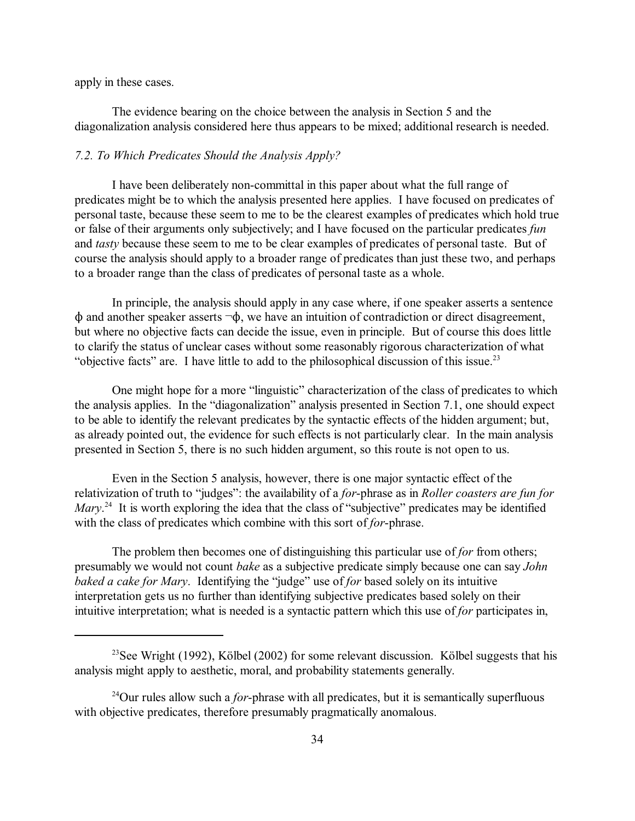apply in these cases.

The evidence bearing on the choice between the analysis in Section 5 and the diagonalization analysis considered here thus appears to be mixed; additional research is needed.

# *7.2. To Which Predicates Should the Analysis Apply?*

I have been deliberately non-committal in this paper about what the full range of predicates might be to which the analysis presented here applies. I have focused on predicates of personal taste, because these seem to me to be the clearest examples of predicates which hold true or false of their arguments only subjectively; and I have focused on the particular predicates *fun* and *tasty* because these seem to me to be clear examples of predicates of personal taste. But of course the analysis should apply to a broader range of predicates than just these two, and perhaps to a broader range than the class of predicates of personal taste as a whole.

In principle, the analysis should apply in any case where, if one speaker asserts a sentence  $\phi$  and another speaker asserts  $\neg \phi$ , we have an intuition of contradiction or direct disagreement, but where no objective facts can decide the issue, even in principle. But of course this does little to clarify the status of unclear cases without some reasonably rigorous characterization of what "objective facts" are. I have little to add to the philosophical discussion of this issue.<sup>23</sup>

One might hope for a more "linguistic" characterization of the class of predicates to which the analysis applies. In the "diagonalization" analysis presented in Section 7.1, one should expect to be able to identify the relevant predicates by the syntactic effects of the hidden argument; but, as already pointed out, the evidence for such effects is not particularly clear. In the main analysis presented in Section 5, there is no such hidden argument, so this route is not open to us.

Even in the Section 5 analysis, however, there is one major syntactic effect of the relativization of truth to "judges": the availability of a *for*-phrase as in *Roller coasters are fun for Mary*.<sup>24</sup> It is worth exploring the idea that the class of "subjective" predicates may be identified with the class of predicates which combine with this sort of *for*-phrase.

The problem then becomes one of distinguishing this particular use of *for* from others; presumably we would not count *bake* as a subjective predicate simply because one can say *John baked a cake for Mary*. Identifying the "judge" use of *for* based solely on its intuitive interpretation gets us no further than identifying subjective predicates based solely on their intuitive interpretation; what is needed is a syntactic pattern which this use of *for* participates in,

<sup>&</sup>lt;sup>23</sup> See Wright (1992), Kölbel (2002) for some relevant discussion. Kölbel suggests that his analysis might apply to aesthetic, moral, and probability statements generally.

<sup>&</sup>lt;sup>24</sup>Our rules allow such a *for*-phrase with all predicates, but it is semantically superfluous with objective predicates, therefore presumably pragmatically anomalous.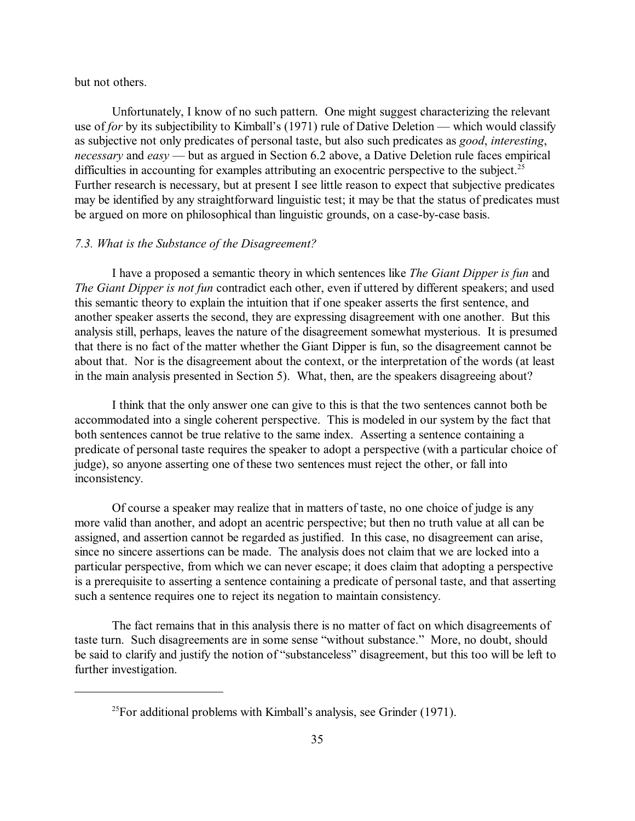but not others.

Unfortunately, I know of no such pattern. One might suggest characterizing the relevant use of *for* by its subjectibility to Kimball's (1971) rule of Dative Deletion — which would classify as subjective not only predicates of personal taste, but also such predicates as *good*, *interesting*, *necessary* and *easy* — but as argued in Section 6.2 above, a Dative Deletion rule faces empirical difficulties in accounting for examples attributing an exocentric perspective to the subject.<sup>25</sup> Further research is necessary, but at present I see little reason to expect that subjective predicates may be identified by any straightforward linguistic test; it may be that the status of predicates must be argued on more on philosophical than linguistic grounds, on a case-by-case basis.

#### *7.3. What is the Substance of the Disagreement?*

I have a proposed a semantic theory in which sentences like *The Giant Dipper is fun* and *The Giant Dipper is not fun* contradict each other, even if uttered by different speakers; and used this semantic theory to explain the intuition that if one speaker asserts the first sentence, and another speaker asserts the second, they are expressing disagreement with one another. But this analysis still, perhaps, leaves the nature of the disagreement somewhat mysterious. It is presumed that there is no fact of the matter whether the Giant Dipper is fun, so the disagreement cannot be about that. Nor is the disagreement about the context, or the interpretation of the words (at least in the main analysis presented in Section 5). What, then, are the speakers disagreeing about?

I think that the only answer one can give to this is that the two sentences cannot both be accommodated into a single coherent perspective. This is modeled in our system by the fact that both sentences cannot be true relative to the same index. Asserting a sentence containing a predicate of personal taste requires the speaker to adopt a perspective (with a particular choice of judge), so anyone asserting one of these two sentences must reject the other, or fall into inconsistency.

Of course a speaker may realize that in matters of taste, no one choice of judge is any more valid than another, and adopt an acentric perspective; but then no truth value at all can be assigned, and assertion cannot be regarded as justified. In this case, no disagreement can arise, since no sincere assertions can be made. The analysis does not claim that we are locked into a particular perspective, from which we can never escape; it does claim that adopting a perspective is a prerequisite to asserting a sentence containing a predicate of personal taste, and that asserting such a sentence requires one to reject its negation to maintain consistency.

The fact remains that in this analysis there is no matter of fact on which disagreements of taste turn. Such disagreements are in some sense "without substance." More, no doubt, should be said to clarify and justify the notion of "substanceless" disagreement, but this too will be left to further investigation.

<sup>&</sup>lt;sup>25</sup>For additional problems with Kimball's analysis, see Grinder  $(1971)$ .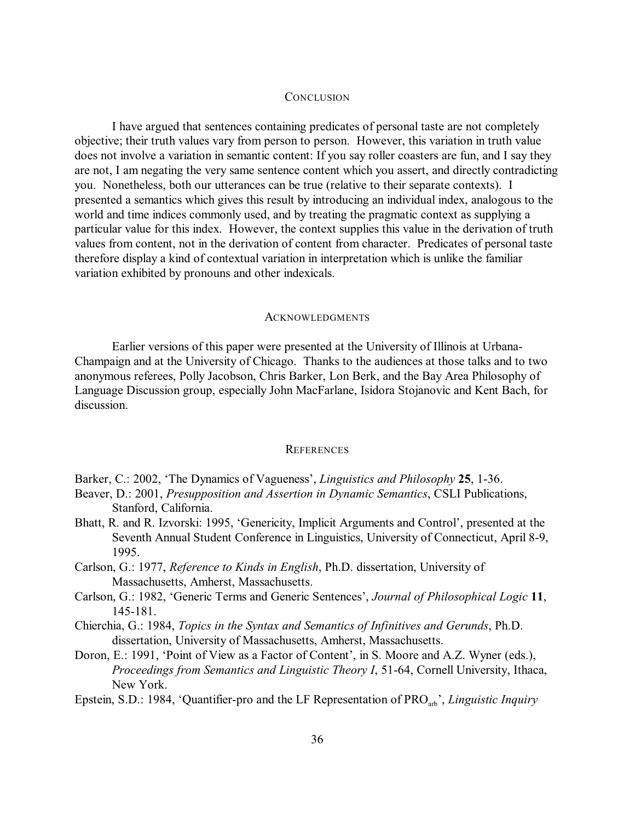## **CONCLUSION**

I have argued that sentences containing predicates of personal taste are not completely objective; their truth values vary from person to person. However, this variation in truth value does not involve a variation in semantic content: If you say roller coasters are fun, and I say they are not, I am negating the very same sentence content which you assert, and directly contradicting you. Nonetheless, both our utterances can be true (relative to their separate contexts). I presented a semantics which gives this result by introducing an individual index, analogous to the world and time indices commonly used, and by treating the pragmatic context as supplying a particular value for this index. However, the context supplies this value in the derivation of truth values from content, not in the derivation of content from character. Predicates of personal taste therefore display a kind of contextual variation in interpretation which is unlike the familiar variation exhibited by pronouns and other indexicals.

#### **ACKNOWLEDGMENTS**

Earlier versions of this paper were presented at the University of Illinois at Urbana-Champaign and at the University of Chicago. Thanks to the audiences at those talks and to two anonymous referees, Polly Jacobson, Chris Barker, Lon Berk, and the Bay Area Philosophy of Language Discussion group, especially John MacFarlane, Isidora Stojanovic and Kent Bach, for discussion.

#### **REFERENCES**

Barker, C.: 2002, 'The Dynamics of Vagueness', *Linguistics and Philosophy* **25**, 1-36.

- Beaver, D.: 2001, *Presupposition and Assertion in Dynamic Semantics*, CSLI Publications, Stanford, California.
- Bhatt, R. and R. Izvorski: 1995, 'Genericity, Implicit Arguments and Control', presented at the Seventh Annual Student Conference in Linguistics, University of Connecticut, April 8-9, 1995.
- Carlson, G.: 1977, *Reference to Kinds in English*, Ph.D. dissertation, University of Massachusetts, Amherst, Massachusetts.
- Carlson, G.: 1982, 'Generic Terms and Generic Sentences', *Journal of Philosophical Logic* **11**, 145-181.
- Chierchia, G.: 1984, *Topics in the Syntax and Semantics of Infinitives and Gerunds*, Ph.D. dissertation, University of Massachusetts, Amherst, Massachusetts.
- Doron, E.: 1991, 'Point of View as a Factor of Content', in S. Moore and A.Z. Wyner (eds.), *Proceedings from Semantics and Linguistic Theory I*, 51-64, Cornell University, Ithaca, New York.
- Epstein, S.D.: 1984, 'Quantifier-pro and the LF Representation of PRO<sub>arb</sub>', *Linguistic Inquiry*